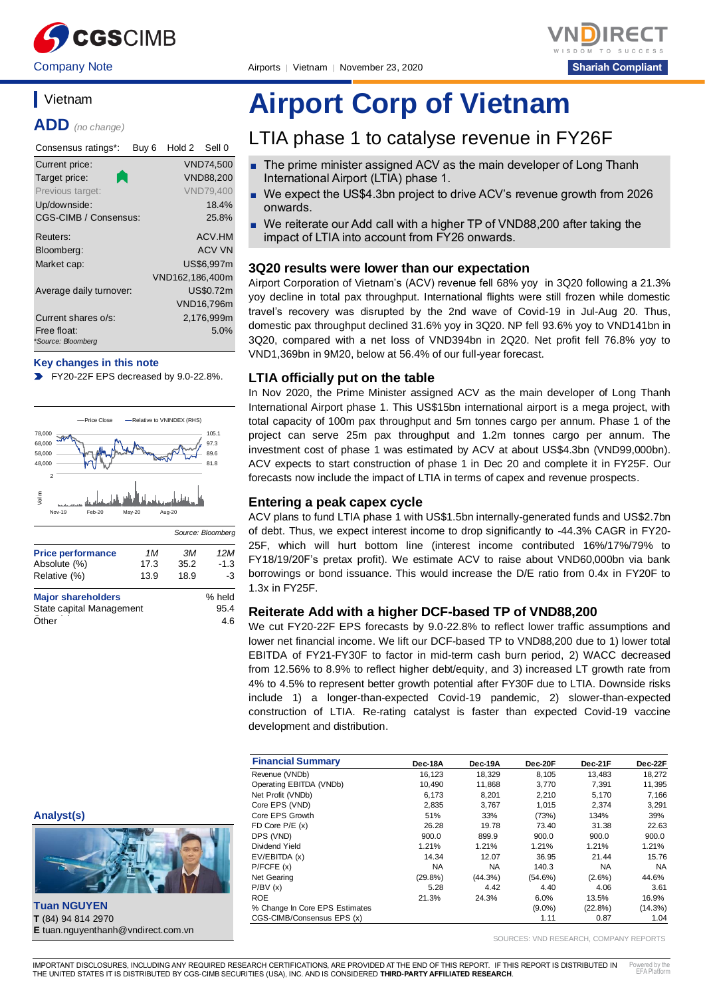



# **Vietnam**

**ADD** *(no change)*

| Consensus ratings*:<br>Buy 6      | Hold 2<br>Sell 0 |
|-----------------------------------|------------------|
| Current price:                    | <b>VND74,500</b> |
| Target price:                     | <b>VND88.200</b> |
| Previous target:                  | <b>VND79.400</b> |
| Up/downside:                      | 18.4%            |
| <b>CGS-CIMB / Consensus:</b>      | 25.8%            |
| Reuters:                          | ACV.HM           |
| Bloomberg:                        | ACV VN           |
| Market cap:                       | US\$6.997m       |
|                                   | VND162,186,400m  |
| Average daily turnover:           | US\$0.72m        |
|                                   | VND16,796m       |
| Current shares o/s:               | 2,176,999m       |
| Free float:<br>*Source: Bloomberg | 5.0%             |

#### **Key changes in this note**

FY20-22F EPS decreased by 9.0-22.8%.  $\blacktriangleright$ 



| <b>Price performance</b>  | 1M   | ЗM   | 12M    |
|---------------------------|------|------|--------|
| Absolute (%)              | 17.3 | 35.2 | $-1.3$ |
| Relative (%)              | 13.9 | 18.9 | -3     |
| <b>Major shareholders</b> |      |      | % held |
| State capital Management  |      |      | 95.4   |
| Other                     |      |      | 4.6    |

# **Airport Corp of Vietnam**

# LTIA phase 1 to catalyse revenue in FY26F

- The prime minister assigned ACV as the main developer of Long Thanh International Airport (LTIA) phase 1.
- We expect the US\$4.3bn project to drive ACV's revenue growth from 2026 onwards.
- We reiterate our Add call with a higher TP of VND88,200 after taking the impact of LTIA into account from FY26 onwards.

### **3Q20 results were lower than our expectation**

Airport Corporation of Vietnam's (ACV) revenue fell 68% yoy in 3Q20 following a 21.3% yoy decline in total pax throughput. International flights were still frozen while domestic travel's recovery was disrupted by the 2nd wave of Covid-19 in Jul-Aug 20. Thus, domestic pax throughput declined 31.6% yoy in 3Q20. NP fell 93.6% yoy to VND141bn in 3Q20, compared with a net loss of VND394bn in 2Q20. Net profit fell 76.8% yoy to VND1,369bn in 9M20, below at 56.4% of our full-year forecast.

### **LTIA officially put on the table**

In Nov 2020, the Prime Minister assigned ACV as the main developer of Long Thanh International Airport phase 1. This US\$15bn international airport is a mega project, with total capacity of 100m pax throughput and 5m tonnes cargo per annum. Phase 1 of the project can serve 25m pax throughput and 1.2m tonnes cargo per annum. The investment cost of phase 1 was estimated by ACV at about US\$4.3bn (VND99,000bn). ACV expects to start construction of phase 1 in Dec 20 and complete it in FY25F. Our forecasts now include the impact of LTIA in terms of capex and revenue prospects.

### **Entering a peak capex cycle**

ACV plans to fund LTIA phase 1 with US\$1.5bn internally-generated funds and US\$2.7bn of debt. Thus, we expect interest income to drop significantly to -44.3% CAGR in FY20- 25F, which will hurt bottom line (interest income contributed 16%/17%/79% to FY18/19/20F's pretax profit). We estimate ACV to raise about VND60,000bn via bank borrowings or bond issuance. This would increase the D/E ratio from 0.4x in FY20F to 1.3x in FY25F.

#### **Reiterate Add with a higher DCF-based TP of VND88,200**

We cut FY20-22F EPS forecasts by 9.0-22.8% to reflect lower traffic assumptions and lower net financial income. We lift our DCF-based TP to VND88,200 due to 1) lower total EBITDA of FY21-FY30F to factor in mid-term cash burn period, 2) WACC decreased from 12.56% to 8.9% to reflect higher debt/equity, and 3) increased LT growth rate from 4% to 4.5% to represent better growth potential after FY30F due to LTIA. Downside risks include 1) a longer-than-expected Covid-19 pandemic, 2) slower-than-expected construction of LTIA. Re-rating catalyst is faster than expected Covid-19 vaccine development and distribution.

| <b>Financial Summary</b>       | Dec-18A    | Dec-19A   | Dec-20F    | Dec-21F    | Dec-22F   |
|--------------------------------|------------|-----------|------------|------------|-----------|
| Revenue (VNDb)                 | 16.123     | 18.329    | 8.105      | 13.483     | 18.272    |
| Operating EBITDA (VNDb)        | 10.490     | 11,868    | 3,770      | 7.391      | 11,395    |
| Net Profit (VNDb)              | 6,173      | 8,201     | 2,210      | 5,170      | 7,166     |
| Core EPS (VND)                 | 2,835      | 3.767     | 1.015      | 2.374      | 3,291     |
| Core EPS Growth                | 51%        | 33%       | (73%)      | 134%       | 39%       |
| FD Core $P/E(x)$               | 26.28      | 19.78     | 73.40      | 31.38      | 22.63     |
| DPS (VND)                      | 900.0      | 899.9     | 900.0      | 900.0      | 900.0     |
| Dividend Yield                 | 1.21%      | 1.21%     | 1.21%      | 1.21%      | 1.21%     |
| EV/EBITDA (x)                  | 14.34      | 12.07     | 36.95      | 21.44      | 15.76     |
| P/FCFE(x)                      | <b>NA</b>  | <b>NA</b> | 140.3      | <b>NA</b>  | <b>NA</b> |
| Net Gearing                    | $(29.8\%)$ | (44.3%)   | $(54.6\%)$ | $(2.6\%)$  | 44.6%     |
| P/BV(x)                        | 5.28       | 4.42      | 4.40       | 4.06       | 3.61      |
| <b>ROE</b>                     | 21.3%      | 24.3%     | 6.0%       | 13.5%      | 16.9%     |
| % Change In Core EPS Estimates |            |           | $(9.0\%)$  | $(22.8\%)$ | (14.3%)   |
| CGS-CIMB/Consensus EPS (x)     |            |           | 1.11       | 0.87       | 1.04      |

SOURCES: VND RESEARCH, COMPANY REPORTS



**Tuan NGUYEN T** (84) 94 814 2970 **E** tuan.nguyenthanh@vndirect.com.vn

IMPORTANT DISCLOSURES, INCLUDING ANY REQUIRED RESEARCH CERTIFICATIONS, ARE PROVIDED AT THE END OF THIS REPORT. IF THIS REPORT IS DISTRIBUTED IN THE UNITED STATES IT IS DISTRIBUTED BY CGS-CIMB SECURITIES (USA), INC. AND IS CONSIDERED **THIRD-PARTY AFFILIATED RESEARCH**. ered by the EFA Platform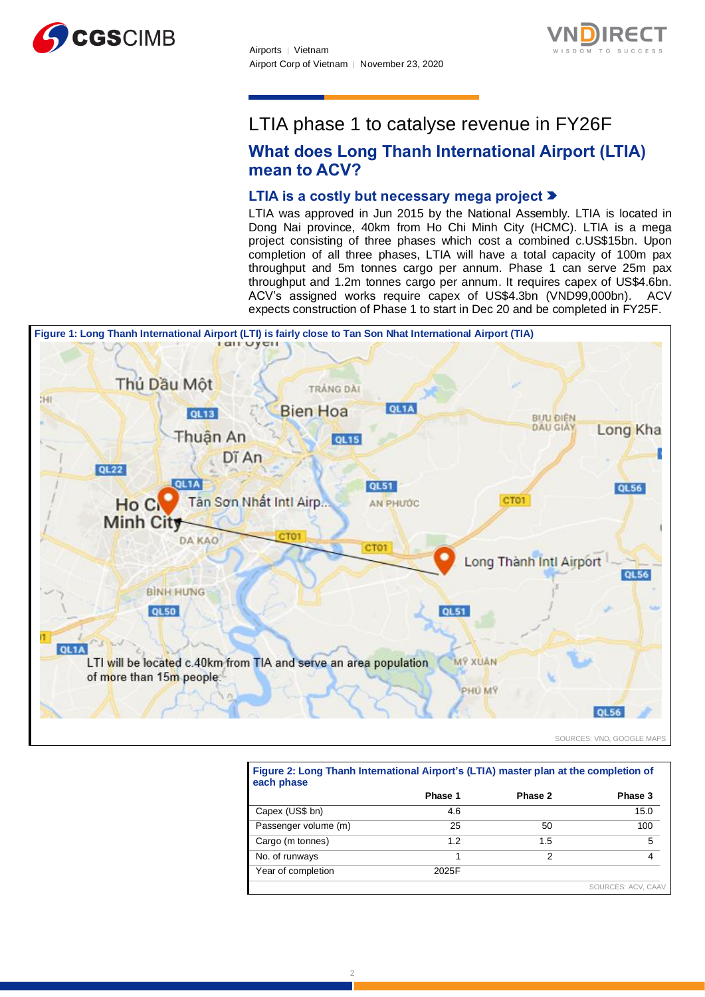



# LTIA phase 1 to catalyse revenue in FY26F

# **What does Long Thanh International Airport (LTIA) mean to ACV?**

# **LTIA is a costly but necessary mega project**

LTIA was approved in Jun 2015 by the National Assembly. LTIA is located in Dong Nai province, 40km from Ho Chi Minh City (HCMC). LTIA is a mega project consisting of three phases which cost a combined c.US\$15bn. Upon completion of all three phases, LTIA will have a total capacity of 100m pax throughput and 5m tonnes cargo per annum. Phase 1 can serve 25m pax throughput and 1.2m tonnes cargo per annum. It requires capex of US\$4.6bn. ACV's assigned works require capex of US\$4.3bn (VND99,000bn). ACV expects construction of Phase 1 to start in Dec 20 and be completed in FY25F.



SOURCES: VND, GOOGLE MAPS

|                      | Phase 1 | Phase 2 | Phase 3 |
|----------------------|---------|---------|---------|
| Capex (US\$ bn)      | 4.6     |         | 15.0    |
| Passenger volume (m) | 25      | 50      | 100     |
| Cargo (m tonnes)     | 1.2     | 1.5     | 5       |
| No. of runways       |         | 2       |         |
| Year of completion   | 2025F   |         |         |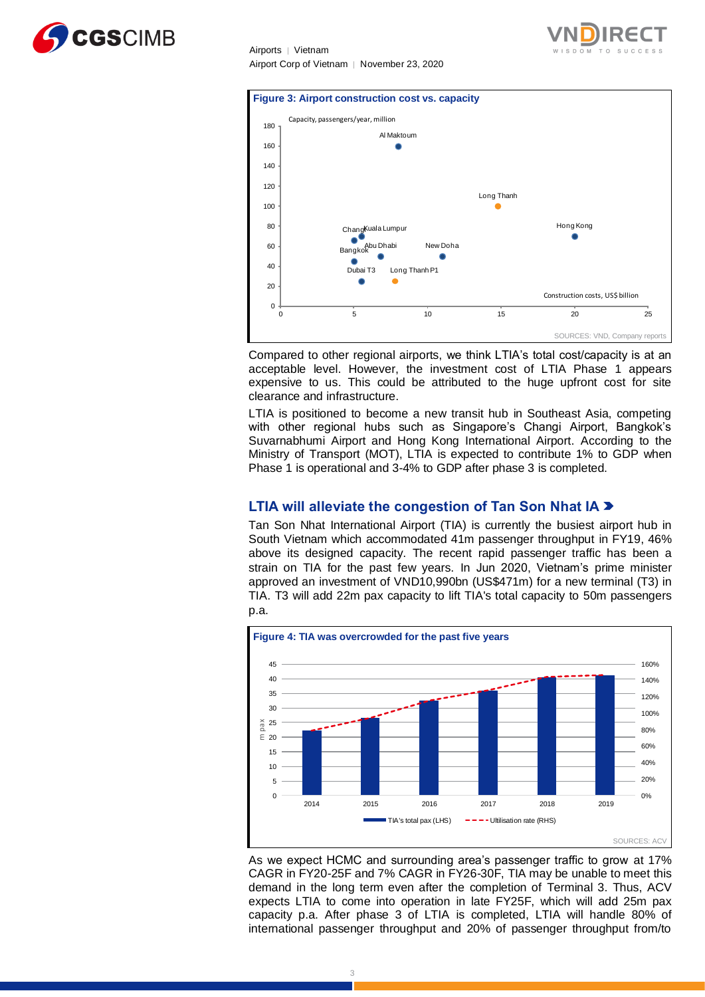





Compared to other regional airports, we think LTIA's total cost/capacity is at an acceptable level. However, the investment cost of LTIA Phase 1 appears expensive to us. This could be attributed to the huge upfront cost for site clearance and infrastructure.

LTIA is positioned to become a new transit hub in Southeast Asia, competing with other regional hubs such as Singapore's Changi Airport, Bangkok's Suvarnabhumi Airport and Hong Kong International Airport. According to the Ministry of Transport (MOT), LTIA is expected to contribute 1% to GDP when Phase 1 is operational and 3-4% to GDP after phase 3 is completed.

# **LTIA will alleviate the congestion of Tan Son Nhat IA**

Tan Son Nhat International Airport (TIA) is currently the busiest airport hub in South Vietnam which accommodated 41m passenger throughput in FY19, 46% above its designed capacity. The recent rapid passenger traffic has been a strain on TIA for the past few years. In Jun 2020, Vietnam's prime minister approved an investment of VND10,990bn (US\$471m) for a new terminal (T3) in TIA. T3 will add 22m pax capacity to lift TIA's total capacity to 50m passengers p.a.



As we expect HCMC and surrounding area's passenger traffic to grow at 17% CAGR in FY20-25F and 7% CAGR in FY26-30F, TIA may be unable to meet this demand in the long term even after the completion of Terminal 3. Thus, ACV expects LTIA to come into operation in late FY25F, which will add 25m pax capacity p.a. After phase 3 of LTIA is completed, LTIA will handle 80% of international passenger throughput and 20% of passenger throughput from/to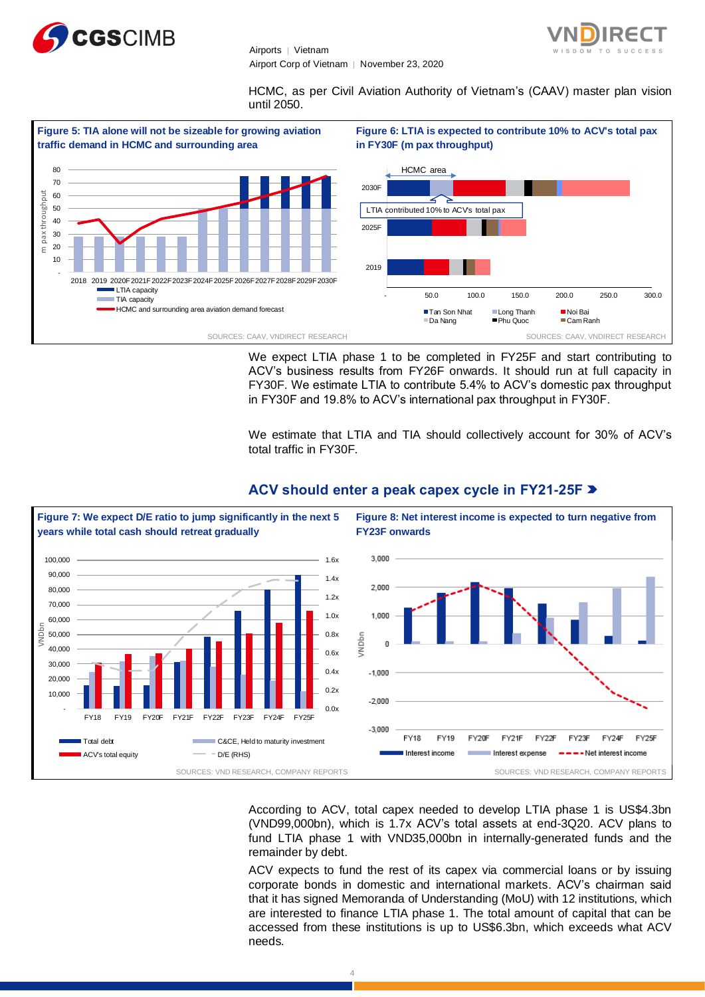



HCMC, as per Civil Aviation Authority of Vietnam's (CAAV) master plan vision until 2050.



We expect LTIA phase 1 to be completed in FY25F and start contributing to ACV's business results from FY26F onwards. It should run at full capacity in FY30F. We estimate LTIA to contribute 5.4% to ACV's domestic pax throughput in FY30F and 19.8% to ACV's international pax throughput in FY30F.

We estimate that LTIA and TIA should collectively account for 30% of ACV's total traffic in FY30F.



# **ACV should enter a peak capex cycle in FY21-25F**

According to ACV, total capex needed to develop LTIA phase 1 is US\$4.3bn (VND99,000bn), which is 1.7x ACV's total assets at end-3Q20. ACV plans to fund LTIA phase 1 with VND35,000bn in internally-generated funds and the remainder by debt.

ACV expects to fund the rest of its capex via commercial loans or by issuing corporate bonds in domestic and international markets. ACV's chairman said that it has signed Memoranda of Understanding (MoU) with 12 institutions, which are interested to finance LTIA phase 1. The total amount of capital that can be accessed from these institutions is up to US\$6.3bn, which exceeds what ACV needs.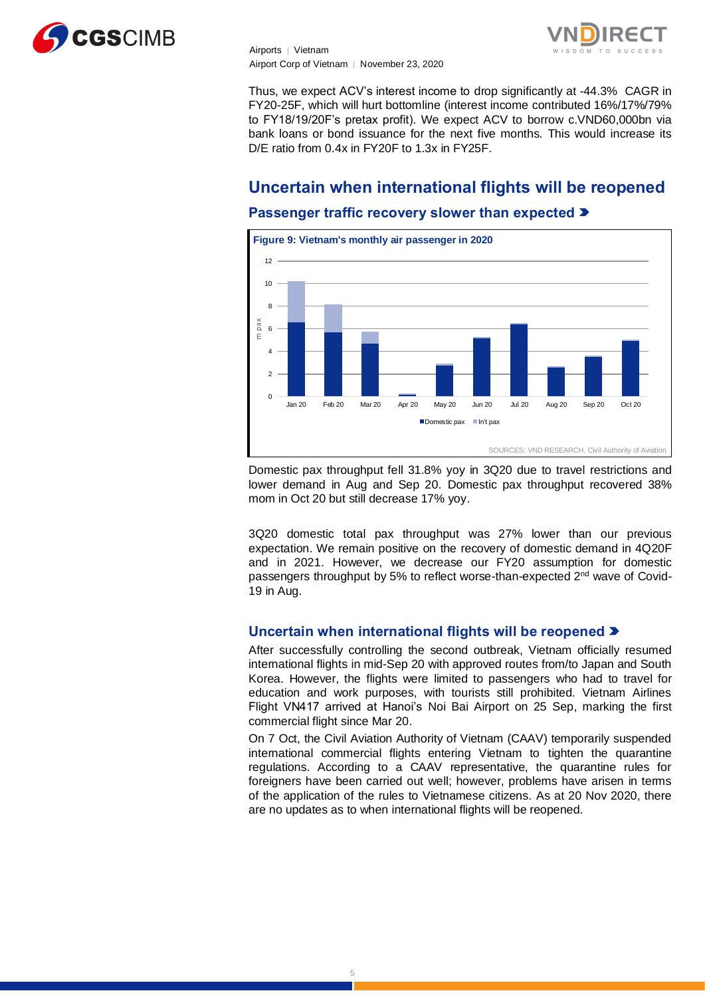



Thus, we expect ACV's interest income to drop significantly at -44.3% CAGR in FY20-25F, which will hurt bottomline (interest income contributed 16%/17%/79% to FY18/19/20F's pretax profit). We expect ACV to borrow c.VND60,000bn via bank loans or bond issuance for the next five months. This would increase its D/E ratio from 0.4x in FY20F to 1.3x in FY25F.

# **Uncertain when international flights will be reopened Passenger traffic recovery slower than expected**



Domestic pax throughput fell 31.8% yoy in 3Q20 due to travel restrictions and lower demand in Aug and Sep 20. Domestic pax throughput recovered 38% mom in Oct 20 but still decrease 17% yoy.

3Q20 domestic total pax throughput was 27% lower than our previous expectation. We remain positive on the recovery of domestic demand in 4Q20F and in 2021. However, we decrease our FY20 assumption for domestic passengers throughput by 5% to reflect worse-than-expected 2<sup>nd</sup> wave of Covid-19 in Aug.

# **Uncertain when international flights will be reopened**

After successfully controlling the second outbreak, Vietnam officially resumed international flights in mid-Sep 20 with approved routes from/to Japan and South Korea. However, the flights were limited to passengers who had to travel for education and work purposes, with tourists still prohibited. Vietnam Airlines Flight VN417 arrived at Hanoi's Noi Bai Airport on 25 Sep, marking the first commercial flight since Mar 20.

On 7 Oct, the Civil Aviation Authority of Vietnam (CAAV) temporarily suspended international commercial flights entering Vietnam to tighten the quarantine regulations. According to a CAAV representative, the quarantine rules for foreigners have been carried out well; however, problems have arisen in terms of the application of the rules to Vietnamese citizens. As at 20 Nov 2020, there are no updates as to when international flights will be reopened.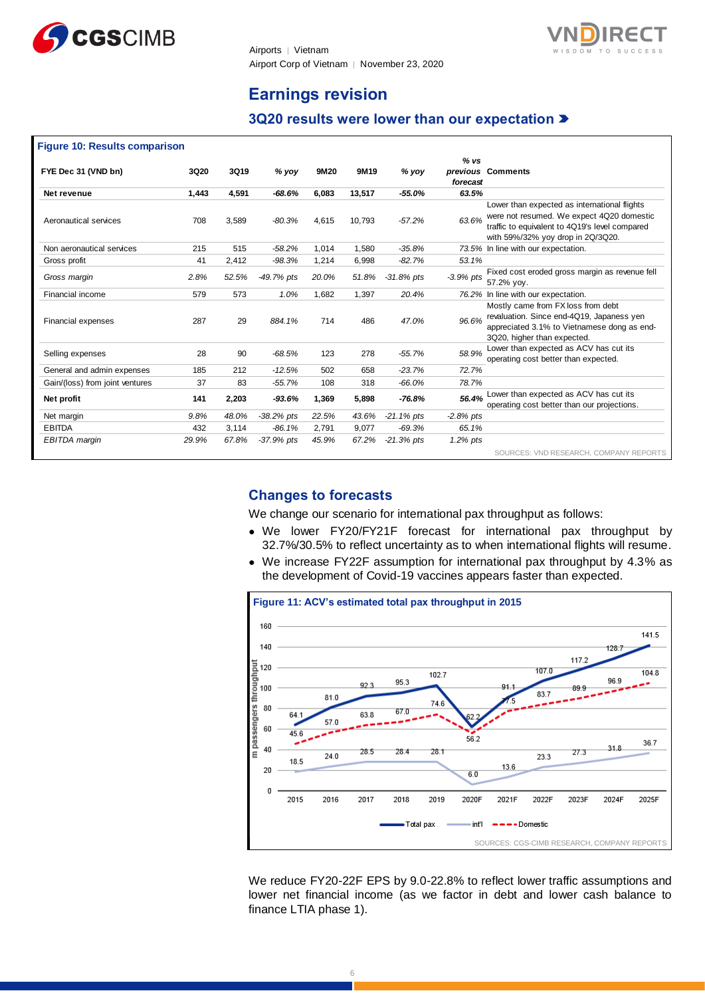



# **Earnings revision**

# **3Q20 results were lower than our expectation**

| <b>Figure 10: Results comparison</b> |             |       |              |       |        |               |                  |                                                                                                                                                                                  |
|--------------------------------------|-------------|-------|--------------|-------|--------|---------------|------------------|----------------------------------------------------------------------------------------------------------------------------------------------------------------------------------|
| FYE Dec 31 (VND bn)                  | <b>3Q20</b> | 3Q19  | $%$ yoy      | 9M20  | 9M19   | $%$ yoy       | % vs<br>forecast | previous Comments                                                                                                                                                                |
| Net revenue                          | 1,443       | 4,591 | -68.6%       | 6,083 | 13,517 | $-55.0\%$     | 63.5%            |                                                                                                                                                                                  |
| Aeronautical services                | 708         | 3.589 | $-80.3%$     | 4,615 | 10,793 | $-57.2%$      | 63.6%            | Lower than expected as international flights<br>were not resumed. We expect 4Q20 domestic<br>traffic to equivalent to 4Q19's level compared<br>with 59%/32% yoy drop in 2Q/3Q20. |
| Non aeronautical services            | 215         | 515   | $-58.2%$     | 1,014 | 1,580  | $-35.8%$      |                  | 73.5% In line with our expectation.                                                                                                                                              |
| Gross profit                         | 41          | 2,412 | $-98.3%$     | 1,214 | 6,998  | $-82.7%$      | 53.1%            |                                                                                                                                                                                  |
| Gross margin                         | 2.8%        | 52.5% | -49.7% pts   | 20.0% | 51.8%  | $-31.8%$ pts  | $-3.9%$ pts      | Fixed cost eroded gross margin as revenue fell<br>57.2% vov.                                                                                                                     |
| Financial income                     | 579         | 573   | 1.0%         | 1,682 | 1,397  | 20.4%         |                  | 76.2% In line with our expectation.                                                                                                                                              |
| Financial expenses                   | 287         | 29    | 884.1%       | 714   | 486    | 47.0%         | 96.6%            | Mostly came from FX loss from debt<br>revaluation. Since end-4Q19, Japaness yen<br>appreciated 3.1% to Vietnamese dong as end-<br>3Q20, higher than expected.                    |
| Selling expenses                     | 28          | 90    | $-68.5%$     | 123   | 278    | $-55.7%$      | 58.9%            | Lower than expected as ACV has cut its<br>operating cost better than expected.                                                                                                   |
| General and admin expenses           | 185         | 212   | $-12.5%$     | 502   | 658    | $-23.7%$      | 72.7%            |                                                                                                                                                                                  |
| Gain/(loss) from joint ventures      | 37          | 83    | $-55.7%$     | 108   | 318    | $-66.0%$      | 78.7%            |                                                                                                                                                                                  |
| Net profit                           | 141         | 2,203 | $-93.6%$     | 1,369 | 5,898  | $-76.8%$      | 56.4%            | Lower than expected as ACV has cut its<br>operating cost better than our projections.                                                                                            |
| Net margin                           | 9.8%        | 48.0% | $-38.2%$ pts | 22.5% | 43.6%  | $-21.1\%$ pts | $-2.8%$ pts      |                                                                                                                                                                                  |
| <b>EBITDA</b>                        | 432         | 3,114 | $-86.1%$     | 2,791 | 9,077  | $-69.3%$      | 65.1%            |                                                                                                                                                                                  |
| EBITDA margin                        | 29.9%       | 67.8% | -37.9% pts   | 45.9% | 67.2%  | $-21.3%$ pts  | 1.2% pts         |                                                                                                                                                                                  |
|                                      |             |       |              |       |        |               |                  | SOURCES: VND RESEARCH, COMPANY REPORTS                                                                                                                                           |

# **Changes to forecasts**

We change our scenario for international pax throughput as follows:

- We lower FY20/FY21F forecast for international pax throughput by 32.7%/30.5% to reflect uncertainty as to when international flights will resume.
- We increase FY22F assumption for international pax throughput by 4.3% as the development of Covid-19 vaccines appears faster than expected.



We reduce FY20-22F EPS by 9.0-22.8% to reflect lower traffic assumptions and lower net financial income (as we factor in debt and lower cash balance to finance LTIA phase 1).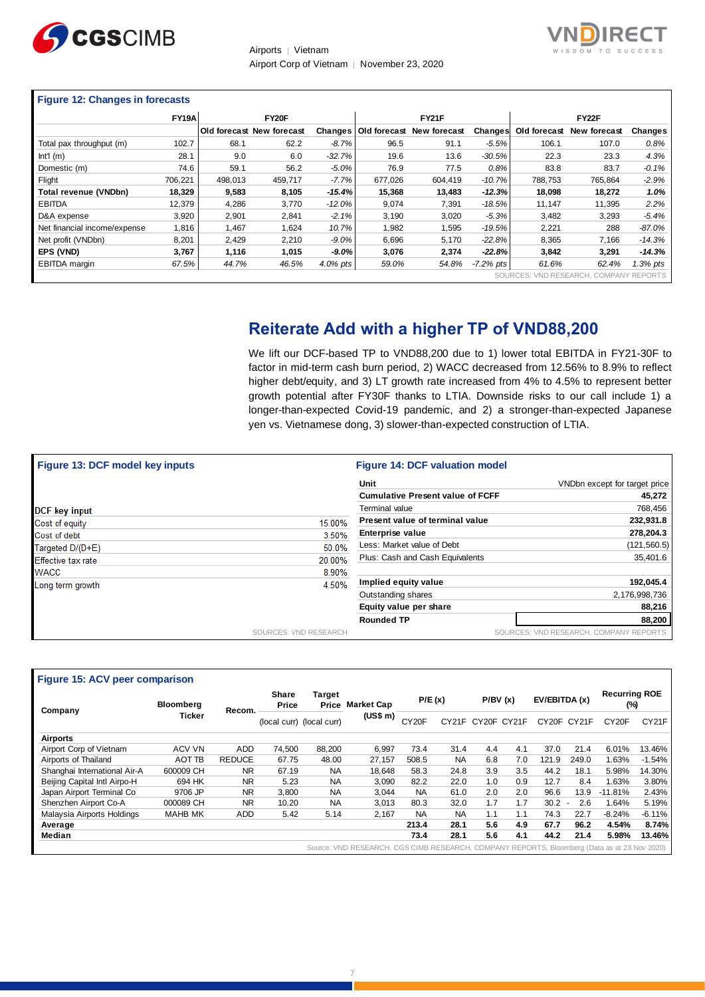



# **Figure 12: Changes in forecasts**

|                              | FY <sub>19</sub> A | FY20F   |                           |           | <b>FY21F</b> |                                     |              | FY22F   |                                        |          |
|------------------------------|--------------------|---------|---------------------------|-----------|--------------|-------------------------------------|--------------|---------|----------------------------------------|----------|
|                              |                    |         | Old forecast New forecast |           |              | Changes   Old forecast New forecast | Changes      |         | Old forecast New forecast              | Changes  |
| Total pax throughput (m)     | 102.7              | 68.1    | 62.2                      | $-8.7%$   | 96.5         | 91.1                                | $-5.5%$      | 106.1   | 107.0                                  | 0.8%     |
| Int1(m)                      | 28.1               | 9.0     | 6.0                       | $-32.7%$  | 19.6         | 13.6                                | $-30.5%$     | 22.3    | 23.3                                   | 4.3%     |
| Domestic (m)                 | 74.6               | 59.1    | 56.2                      | $-5.0%$   | 76.9         | 77.5                                | 0.8%         | 83.8    | 83.7                                   | $-0.1%$  |
| Flight                       | 706.221            | 498,013 | 459.717                   | $-7.7%$   | 677.026      | 604.419                             | $-10.7%$     | 788.753 | 765.864                                | $-2.9%$  |
| Total revenue (VNDbn)        | 18.329             | 9,583   | 8,105                     | $-15.4%$  | 15.368       | 13,483                              | $-12.3%$     | 18,098  | 18,272                                 | 1.0%     |
| <b>EBITDA</b>                | 12.379             | 4.286   | 3.770                     | $-12.0\%$ | 9.074        | 7.391                               | $-18.5%$     | 11.147  | 11.395                                 | 2.2%     |
| D&A expense                  | 3.920              | 2,901   | 2,841                     | $-2.1%$   | 3,190        | 3,020                               | $-5.3%$      | 3,482   | 3,293                                  | $-5.4%$  |
| Net financial income/expense | 1.816              | 1.467   | 1.624                     | 10.7%     | 1.982        | 1.595                               | $-19.5%$     | 2,221   | 288                                    | $-87.0%$ |
| Net profit (VNDbn)           | 8,201              | 2,429   | 2,210                     | $-9.0%$   | 6,696        | 5,170                               | $-22.8%$     | 8,365   | 7.166                                  | $-14.3%$ |
| EPS (VND)                    | 3.767              | 1,116   | 1,015                     | $-9.0\%$  | 3.076        | 2,374                               | $-22.8%$     | 3,842   | 3.291                                  | $-14.3%$ |
| EBITDA margin                | 67.5%              | 44.7%   | 46.5%                     | 4.0% pts  | 59.0%        | 54.8%                               | $-7.2\%$ pts | 61.6%   | 62.4%                                  | 1.3% pts |
|                              |                    |         |                           |           |              |                                     |              |         | SOURCES: VND RESEARCH, COMPANY REPORTS |          |

# **Reiterate Add with a higher TP of VND88,200**

We lift our DCF-based TP to VND88,200 due to 1) lower total EBITDA in FY21-30F to factor in mid-term cash burn period, 2) WACC decreased from 12.56% to 8.9% to reflect higher debt/equity, and 3) LT growth rate increased from 4% to 4.5% to represent better growth potential after FY30F thanks to LTIA. Downside risks to our call include 1) a longer-than-expected Covid-19 pandemic, and 2) a stronger-than-expected Japanese yen vs. Vietnamese dong, 3) slower-than-expected construction of LTIA.

| <b>Figure 13: DCF model key inputs</b> |                       | <b>Figure 14: DCF valuation model</b>   |                                        |
|----------------------------------------|-----------------------|-----------------------------------------|----------------------------------------|
|                                        |                       | Unit                                    | VNDbn except for target price          |
|                                        |                       | <b>Cumulative Present value of FCFF</b> | 45,272                                 |
| <b>DCF</b> key input                   |                       | Terminal value                          | 768,456                                |
| Cost of equity                         | 15.00%                | Present value of terminal value         | 232,931.8                              |
| Cost of debt                           | 3.50%                 | Enterprise value                        | 278,204.3                              |
| Targeted D/(D+E)                       | 50.0%                 | Less: Market value of Debt              | (121, 560.5)                           |
| <b>Effective tax rate</b>              | 20.00%                | Plus: Cash and Cash Equivalents         | 35,401.6                               |
| <b>WACC</b>                            | 8.90%                 |                                         |                                        |
| Long term growth                       | 4.50%                 | Implied equity value                    | 192,045.4                              |
|                                        |                       | Outstanding shares                      | 2,176,998,736                          |
|                                        |                       | Equity value per share                  | 88,216                                 |
|                                        |                       | <b>Rounded TP</b>                       | 88,200                                 |
|                                        | SOURCES: VND RESEARCH |                                         | SOURCES: VND RESEARCH, COMPANY REPORTS |

| Figure 15: ACV peer comparison |                            |                                          |                   |                                       |                                                                                              |           |                   |               |     |                             |                    |           |          |
|--------------------------------|----------------------------|------------------------------------------|-------------------|---------------------------------------|----------------------------------------------------------------------------------------------|-----------|-------------------|---------------|-----|-----------------------------|--------------------|-----------|----------|
| Company                        | <b>Bloomberg</b><br>Recom. | <b>Share</b><br>Target<br>Price<br>Price | <b>Market Cap</b> | P/E(x)                                |                                                                                              | P/BV(x)   |                   | EV/EBITDA (x) |     | <b>Recurring ROE</b><br>(%) |                    |           |          |
|                                | <b>Ticker</b>              |                                          |                   | (US\$ m)<br>(local curr) (local curr) | CY <sub>20</sub> F                                                                           |           | CY21F CY20F CY21F |               |     | CY20F CY21F                 | CY <sub>20</sub> F | CY21F     |          |
| <b>Airports</b>                |                            |                                          |                   |                                       |                                                                                              |           |                   |               |     |                             |                    |           |          |
| Airport Corp of Vietnam        | ACV VN                     | <b>ADD</b>                               | 74.500            | 88,200                                | 6,997                                                                                        | 73.4      | 31.4              | 4.4           | 4.1 | 37.0                        | 21.4               | 6.01%     | 13.46%   |
| Airports of Thailand           | AOT TB                     | <b>REDUCE</b>                            | 67.75             | 48.00                                 | 27.157                                                                                       | 508.5     | <b>NA</b>         | 6.8           | 7.0 | 121.9                       | 249.0              | 1.63%     | $-1.54%$ |
| Shanghai International Air-A   | 600009 CH                  | <b>NR</b>                                | 67.19             | <b>NA</b>                             | 18.648                                                                                       | 58.3      | 24.8              | 3.9           | 3.5 | 44.2                        | 18.1               | 5.98%     | 14.30%   |
| Beijing Capital Intl Airpo-H   | 694 HK                     | <b>NR</b>                                | 5.23              | <b>NA</b>                             | 3,090                                                                                        | 82.2      | 22.0              | 1.0           | 0.9 | 12.7                        | 8.4                | .63%      | 3.80%    |
| Japan Airport Terminal Co      | 9706 JP                    | <b>NR</b>                                | 3.800             | <b>NA</b>                             | 3.044                                                                                        | <b>NA</b> | 61.0              | 2.0           | 2.0 | 96.6                        | 13.9               | $-11.81%$ | 2.43%    |
| Shenzhen Airport Co-A          | 000089 CH                  | <b>NR</b>                                | 10.20             | <b>NA</b>                             | 3,013                                                                                        | 80.3      | 32.0              | 1.7           | 1.7 | $30.2 -$                    | 2.6                | 1.64%     | 5.19%    |
| Malaysia Airports Holdings     | <b>MAHB MK</b>             | <b>ADD</b>                               | 5.42              | 5.14                                  | 2.167                                                                                        | <b>NA</b> | <b>NA</b>         | 1.1           | 1.1 | 74.3                        | 22.7               | $-8.24%$  | $-6.11%$ |
| Average                        |                            |                                          |                   |                                       |                                                                                              | 213.4     | 28.1              | 5.6           | 4.9 | 67.7                        | 96.2               | 4.54%     | 8.74%    |
| Median                         |                            |                                          |                   |                                       |                                                                                              | 73.4      | 28.1              | 5.6           | 4.1 | 44.2                        | 21.4               | 5.98%     | 13.46%   |
|                                |                            |                                          |                   |                                       | Source: VND RESEARCH, CGS CIMB RESEARCH, COMPANY REPORTS, Bloomberg (Data as at 23 Nov 2020) |           |                   |               |     |                             |                    |           |          |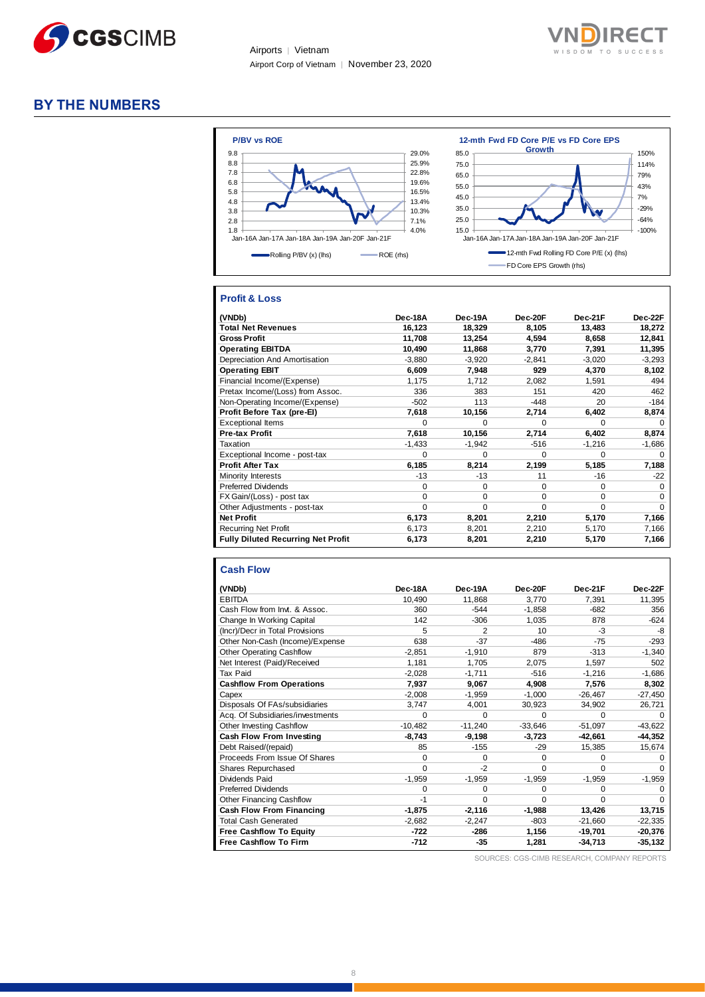



# **BY THE NUMBERS**



# **Profit & Loss**

| (VNDb)                                    | Dec-18A  | <b>Dec-19A</b> | Dec-20F  | Dec-21F  | Dec-22F  |
|-------------------------------------------|----------|----------------|----------|----------|----------|
| <b>Total Net Revenues</b>                 | 16,123   | 18,329         | 8,105    | 13,483   | 18,272   |
| <b>Gross Profit</b>                       | 11,708   | 13,254         | 4.594    | 8.658    | 12,841   |
| <b>Operating EBITDA</b>                   | 10,490   | 11,868         | 3,770    | 7,391    | 11,395   |
| Depreciation And Amortisation             | $-3,880$ | $-3,920$       | $-2,841$ | $-3,020$ | $-3,293$ |
| <b>Operating EBIT</b>                     | 6,609    | 7,948          | 929      | 4,370    | 8,102    |
| Financial Income/(Expense)                | 1,175    | 1,712          | 2,082    | 1,591    | 494      |
| Pretax Income/(Loss) from Assoc.          | 336      | 383            | 151      | 420      | 462      |
| Non-Operating Income/(Expense)            | $-502$   | 113            | $-448$   | 20       | $-184$   |
| Profit Before Tax (pre-El)                | 7,618    | 10,156         | 2,714    | 6,402    | 8,874    |
| <b>Exceptional Items</b>                  | 0        | $\Omega$       | $\Omega$ | $\Omega$ | $\Omega$ |
| <b>Pre-tax Profit</b>                     | 7,618    | 10,156         | 2,714    | 6,402    | 8,874    |
| Taxation                                  | $-1,433$ | $-1,942$       | $-516$   | $-1,216$ | $-1,686$ |
| Exceptional Income - post-tax             | 0        | $\Omega$       | $\Omega$ | 0        | $\Omega$ |
| <b>Profit After Tax</b>                   | 6,185    | 8,214          | 2,199    | 5,185    | 7,188    |
| Minority Interests                        | $-13$    | -13            | 11       | -16      | $-22$    |
| <b>Preferred Dividends</b>                | $\Omega$ | $\Omega$       | $\Omega$ | 0        | $\Omega$ |
| FX Gain/(Loss) - post tax                 | $\Omega$ | $\Omega$       | $\Omega$ | 0        | $\Omega$ |
| Other Adjustments - post-tax              | $\Omega$ | $\Omega$       | $\Omega$ | $\Omega$ | $\Omega$ |
| <b>Net Profit</b>                         | 6,173    | 8,201          | 2,210    | 5,170    | 7,166    |
| <b>Recurring Net Profit</b>               | 6,173    | 8,201          | 2,210    | 5,170    | 7,166    |
| <b>Fully Diluted Recurring Net Profit</b> | 6,173    | 8,201          | 2,210    | 5,170    | 7,166    |

#### **Cash Flow**

| (VNDb)                           | Dec-18A   | Dec-19A       | Dec-20F   | Dec-21F   | Dec-22F      |
|----------------------------------|-----------|---------------|-----------|-----------|--------------|
| <b>EBITDA</b>                    | 10,490    | 11,868        | 3,770     | 7,391     | 11,395       |
| Cash Flow from Invt. & Assoc.    | 360       | $-544$        | $-1,858$  | $-682$    | 356          |
|                                  |           |               |           |           |              |
| Change In Working Capital        | 142       | $-306$        | 1.035     | 878       | $-624$       |
| (Incr)/Decr in Total Provisions  | 5         | $\mathcal{P}$ | 10        | $-3$      | -8           |
| Other Non-Cash (Income)/Expense  | 638       | $-37$         | $-486$    | $-75$     | $-293$       |
| <b>Other Operating Cashflow</b>  | $-2.851$  | $-1,910$      | 879       | $-313$    | $-1,340$     |
| Net Interest (Paid)/Received     | 1,181     | 1,705         | 2.075     | 1.597     | 502          |
| Tax Paid                         | $-2,028$  | $-1.711$      | $-516$    | $-1.216$  | $-1,686$     |
| <b>Cashflow From Operations</b>  | 7,937     | 9,067         | 4.908     | 7,576     | 8,302        |
| Capex                            | $-2.008$  | $-1.959$      | $-1.000$  | $-26.467$ | $-27,450$    |
| Disposals Of FAs/subsidiaries    | 3,747     | 4.001         | 30,923    | 34,902    | 26,721       |
| Acq. Of Subsidiaries/investments | $\Omega$  | $\Omega$      | $\Omega$  | $\Omega$  | $\Omega$     |
| Other Investing Cashflow         | $-10,482$ | $-11,240$     | $-33,646$ | $-51.097$ | $-43,622$    |
| Cash Flow From Investing         | $-8.743$  | $-9.198$      | $-3,723$  | $-42.661$ | $-44,352$    |
| Debt Raised/(repaid)             | 85        | $-155$        | $-29$     | 15,385    | 15,674       |
| Proceeds From Issue Of Shares    | $\Omega$  | $\Omega$      | 0         | 0         | $\Omega$     |
| Shares Repurchased               | $\Omega$  | $-2$          | $\Omega$  | $\Omega$  | <sup>0</sup> |
| Dividends Paid                   | $-1,959$  | $-1,959$      | $-1,959$  | $-1,959$  | $-1,959$     |
| <b>Preferred Dividends</b>       | $\Omega$  | $\Omega$      | $\Omega$  | $\Omega$  | $\Omega$     |
| <b>Other Financing Cashflow</b>  | $-1$      | $\Omega$      | $\Omega$  | $\Omega$  | $\Omega$     |
| <b>Cash Flow From Financing</b>  | $-1.875$  | $-2,116$      | $-1,988$  | 13,426    | 13,715       |
| <b>Total Cash Generated</b>      | $-2.682$  | $-2,247$      | -803      | $-21.660$ | $-22,335$    |
| <b>Free Cashflow To Equity</b>   | -722      | $-286$        | 1,156     | -19.701   | $-20,376$    |
| <b>Free Cashflow To Firm</b>     | $-712$    | $-35$         | 1,281     | $-34,713$ | $-35,132$    |

SOURCES: CGS-CIMB RESEARCH, COMPANY REPORTS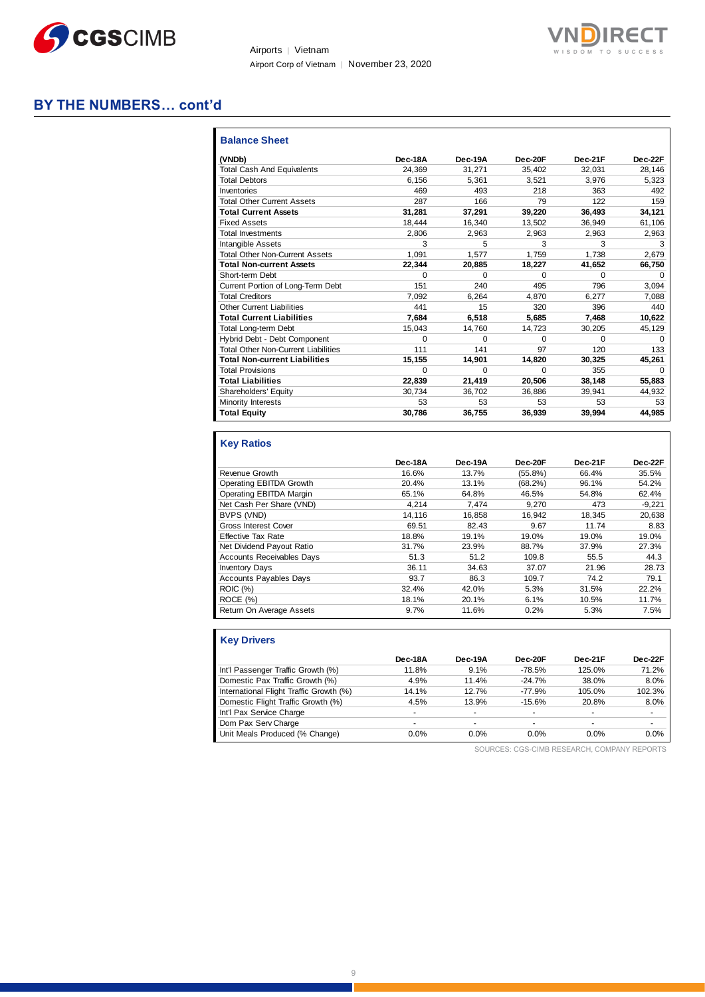



# **BY THE NUMBERS… cont'd**

| (VNDb)                                     | Dec-18A | Dec-19A  | Dec-20F  | Dec-21F  | Dec-22F  |
|--------------------------------------------|---------|----------|----------|----------|----------|
| <b>Total Cash And Equivalents</b>          | 24.369  | 31,271   | 35,402   | 32.031   | 28,146   |
| <b>Total Debtors</b>                       | 6.156   | 5.361    | 3.521    | 3.976    | 5.323    |
| Inventories                                | 469     | 493      | 218      | 363      | 492      |
| <b>Total Other Current Assets</b>          | 287     | 166      | 79       | 122      | 159      |
| <b>Total Current Assets</b>                | 31,281  | 37,291   | 39,220   | 36,493   | 34,121   |
| <b>Fixed Assets</b>                        | 18.444  | 16,340   | 13,502   | 36,949   | 61,106   |
| <b>Total Investments</b>                   | 2.806   | 2.963    | 2.963    | 2.963    | 2,963    |
| Intangible Assets                          | 3       | 5        | 3        | 3        | 3        |
| <b>Total Other Non-Current Assets</b>      | 1.091   | 1.577    | 1.759    | 1.738    | 2.679    |
| <b>Total Non-current Assets</b>            | 22.344  | 20,885   | 18,227   | 41,652   | 66,750   |
| Short-term Debt                            | 0       | $\Omega$ | $\Omega$ | $\Omega$ | $\Omega$ |
| Current Portion of Long-Term Debt          | 151     | 240      | 495      | 796      | 3.094    |
| <b>Total Creditors</b>                     | 7.092   | 6.264    | 4.870    | 6.277    | 7,088    |
| <b>Other Current Liabilities</b>           | 441     | 15       | 320      | 396      | 440      |
| <b>Total Current Liabilities</b>           | 7.684   | 6.518    | 5.685    | 7,468    | 10,622   |
| <b>Total Long-term Debt</b>                | 15,043  | 14,760   | 14,723   | 30,205   | 45,129   |
| Hybrid Debt - Debt Component               | 0       | $\Omega$ | $\Omega$ | $\Omega$ | $\Omega$ |
| <b>Total Other Non-Current Liabilities</b> | 111     | 141      | 97       | 120      | 133      |
| <b>Total Non-current Liabilities</b>       | 15,155  | 14,901   | 14.820   | 30,325   | 45,261   |
| <b>Total Provisions</b>                    | 0       | $\Omega$ | $\Omega$ | 355      | $\Omega$ |
| <b>Total Liabilities</b>                   | 22,839  | 21,419   | 20,506   | 38,148   | 55,883   |
| Shareholders' Equity                       | 30,734  | 36,702   | 36,886   | 39,941   | 44,932   |
| Minority Interests                         | 53      | 53       | 53       | 53       | 53       |
| <b>Total Equity</b>                        | 30,786  | 36,755   | 36,939   | 39,994   | 44,985   |

### **Key Ratios**

|                                  | Dec-18A | Dec-19A | Dec-20F    | Dec-21F | Dec-22F  |
|----------------------------------|---------|---------|------------|---------|----------|
| Revenue Growth                   | 16.6%   | 13.7%   | $(55.8\%)$ | 66.4%   | 35.5%    |
| Operating EBITDA Growth          | 20.4%   | 13.1%   | $(68.2\%)$ | 96.1%   | 54.2%    |
| Operating EBITDA Margin          | 65.1%   | 64.8%   | 46.5%      | 54.8%   | 62.4%    |
| Net Cash Per Share (VND)         | 4.214   | 7.474   | 9.270      | 473     | $-9,221$ |
| BVPS (VND)                       | 14.116  | 16.858  | 16.942     | 18.345  | 20,638   |
| Gross Interest Cover             | 69.51   | 82.43   | 9.67       | 11.74   | 8.83     |
| <b>Effective Tax Rate</b>        | 18.8%   | 19.1%   | 19.0%      | 19.0%   | 19.0%    |
| Net Dividend Payout Ratio        | 31.7%   | 23.9%   | 88.7%      | 37.9%   | 27.3%    |
| <b>Accounts Receivables Days</b> | 51.3    | 51.2    | 109.8      | 55.5    | 44.3     |
| <b>Inventory Days</b>            | 36.11   | 34.63   | 37.07      | 21.96   | 28.73    |
| <b>Accounts Payables Days</b>    | 93.7    | 86.3    | 109.7      | 74.2    | 79.1     |
| <b>ROIC (%)</b>                  | 32.4%   | 42.0%   | 5.3%       | 31.5%   | 22.2%    |
| ROCE(%)                          | 18.1%   | 20.1%   | 6.1%       | 10.5%   | 11.7%    |
| Return On Average Assets         | 9.7%    | 11.6%   | 0.2%       | 5.3%    | 7.5%     |

| <b>Key Drivers</b>                      |         |         |          |         |         |
|-----------------------------------------|---------|---------|----------|---------|---------|
|                                         | Dec-18A | Dec-19A | Dec-20F  | Dec-21F | Dec-22F |
| Int'l Passenger Traffic Growth (%)      | 11.8%   | 9.1%    | -78.5%   | 125.0%  | 71.2%   |
| Domestic Pax Traffic Growth (%)         | 4.9%    | 11.4%   | $-24.7%$ | 38.0%   | 8.0%    |
| International Flight Traffic Growth (%) | 14.1%   | 12.7%   | $-77.9%$ | 105.0%  | 102.3%  |
| Domestic Flight Traffic Growth (%)      | 4.5%    | 13.9%   | $-15.6%$ | 20.8%   | 8.0%    |
| Int'l Pax Service Charge                | ۰       | -       | ۰        | ۰       | ٠       |
| Dom Pax Serv Charge                     | ۰       | ۰       | ۰        | ۰       | ٠       |
| Unit Meals Produced (% Change)          | 0.0%    | 0.0%    | $0.0\%$  | 0.0%    | 0.0%    |

SOURCES: CGS-CIMB RESEARCH, COMPANY REPORTS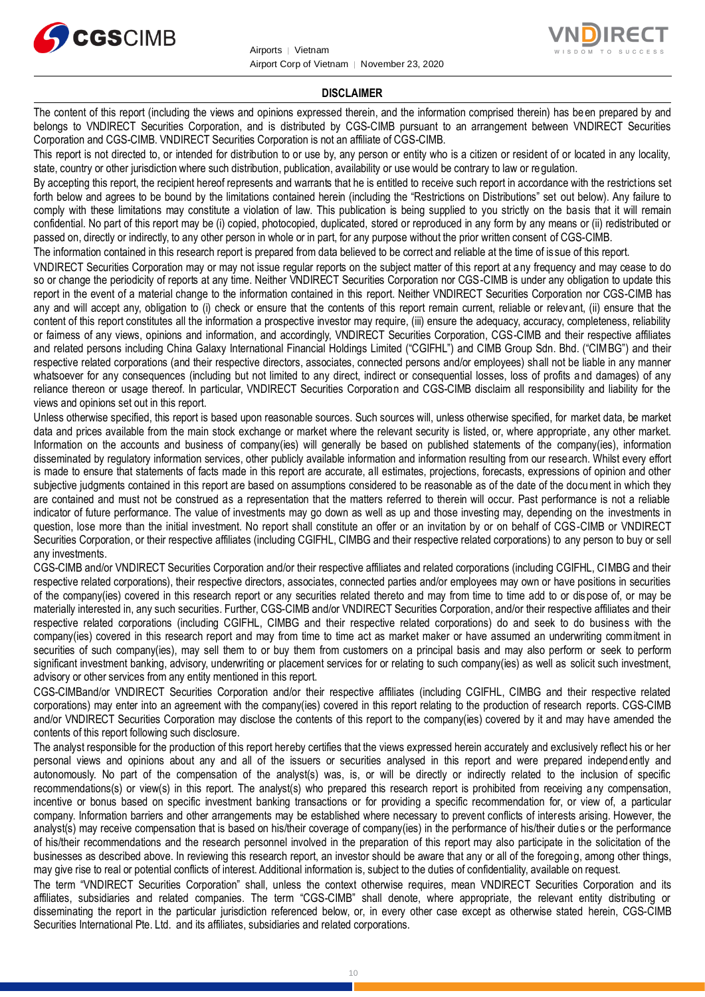



### **DISCLAIMER**

The content of this report (including the views and opinions expressed therein, and the information comprised therein) has been prepared by and belongs to VNDIRECT Securities Corporation, and is distributed by CGS-CIMB pursuant to an arrangement between VNDIRECT Securities Corporation and CGS-CIMB. VNDIRECT Securities Corporation is not an affiliate of CGS-CIMB.

This report is not directed to, or intended for distribution to or use by, any person or entity who is a citizen or resident of or located in any locality, state, country or other jurisdiction where such distribution, publication, availability or use would be contrary to law or regulation.

By accepting this report, the recipient hereof represents and warrants that he is entitled to receive such report in accordance with the restrictions set forth below and agrees to be bound by the limitations contained herein (including the "Restrictions on Distributions" set out below). Any failure to comply with these limitations may constitute a violation of law. This publication is being supplied to you strictly on the basis that it will remain confidential. No part of this report may be (i) copied, photocopied, duplicated, stored or reproduced in any form by any means or (ii) redistributed or passed on, directly or indirectly, to any other person in whole or in part, for any purpose without the prior written consent of CGS-CIMB.

The information contained in this research report is prepared from data believed to be correct and reliable at the time of is sue of this report.

VNDIRECT Securities Corporation may or may not issue regular reports on the subject matter of this report at any frequency and may cease to do so or change the periodicity of reports at any time. Neither VNDIRECT Securities Corporation nor CGS-CIMB is under any obligation to update this report in the event of a material change to the information contained in this report. Neither VNDIRECT Securities Corporation nor CGS-CIMB has any and will accept any, obligation to (i) check or ensure that the contents of this report remain current, reliable or relevant, (ii) ensure that the content of this report constitutes all the information a prospective investor may require, (iii) ensure the adequacy, accuracy, completeness, reliability or fairness of any views, opinions and information, and accordingly, VNDIRECT Securities Corporation, CGS-CIMB and their respective affiliates and related persons including China Galaxy International Financial Holdings Limited ("CGIFHL") and CIMB Group Sdn. Bhd. ("CIMBG") and their respective related corporations (and their respective directors, associates, connected persons and/or employees) shall not be liable in any manner whatsoever for any consequences (including but not limited to any direct, indirect or consequential losses, loss of profits a nd damages) of any reliance thereon or usage thereof. In particular, VNDIRECT Securities Corporation and CGS-CIMB disclaim all responsibility and liability for the views and opinions set out in this report.

Unless otherwise specified, this report is based upon reasonable sources. Such sources will, unless otherwise specified, for market data, be market data and prices available from the main stock exchange or market where the relevant security is listed, or, where appropriate, any other market. Information on the accounts and business of company(ies) will generally be based on published statements of the company(ies), information disseminated by regulatory information services, other publicly available information and information resulting from our research. Whilst every effort is made to ensure that statements of facts made in this report are accurate, all estimates, projections, forecasts, expressions of opinion and other subjective judgments contained in this report are based on assumptions considered to be reasonable as of the date of the document in which they are contained and must not be construed as a representation that the matters referred to therein will occur. Past performance is not a reliable indicator of future performance. The value of investments may go down as well as up and those investing may, depending on the investments in question, lose more than the initial investment. No report shall constitute an offer or an invitation by or on behalf of CGS-CIMB or VNDIRECT Securities Corporation, or their respective affiliates (including CGIFHL, CIMBG and their respective related corporations) to any person to buy or sell any investments.

CGS-CIMB and/or VNDIRECT Securities Corporation and/or their respective affiliates and related corporations (including CGIFHL, CIMBG and their respective related corporations), their respective directors, associates, connected parties and/or employees may own or have positions in securities of the company(ies) covered in this research report or any securities related thereto and may from time to time add to or dis pose of, or may be materially interested in, any such securities. Further, CGS-CIMB and/or VNDIRECT Securities Corporation, and/or their respective affiliates and their respective related corporations (including CGIFHL, CIMBG and their respective related corporations) do and seek to do business with the company(ies) covered in this research report and may from time to time act as market maker or have assumed an underwriting commitment in securities of such company(ies), may sell them to or buy them from customers on a principal basis and may also perform or seek to perform significant investment banking, advisory, underwriting or placement services for or relating to such company(ies) as well as solicit such investment, advisory or other services from any entity mentioned in this report.

CGS-CIMBand/or VNDIRECT Securities Corporation and/or their respective affiliates (including CGIFHL, CIMBG and their respective related corporations) may enter into an agreement with the company(ies) covered in this report relating to the production of research reports. CGS-CIMB and/or VNDIRECT Securities Corporation may disclose the contents of this report to the company(ies) covered by it and may have amended the contents of this report following such disclosure.

The analyst responsible for the production of this report hereby certifies that the views expressed herein accurately and exclusively reflect his or her personal views and opinions about any and all of the issuers or securities analysed in this report and were prepared independ ently and autonomously. No part of the compensation of the analyst(s) was, is, or will be directly or indirectly related to the inclusion of specific recommendations(s) or view(s) in this report. The analyst(s) who prepared this research report is prohibited from receiving any compensation, incentive or bonus based on specific investment banking transactions or for providing a specific recommendation for, or view of, a particular company. Information barriers and other arrangements may be established where necessary to prevent conflicts of interests arising. However, the analyst(s) may receive compensation that is based on his/their coverage of company(ies) in the performance of his/their duties or the performance of his/their recommendations and the research personnel involved in the preparation of this report may also participate in the solicitation of the businesses as described above. In reviewing this research report, an investor should be aware that any or all of the foregoing, among other things, may give rise to real or potential conflicts of interest. Additional information is, subject to the duties of confidentiality, available on request.

The term "VNDIRECT Securities Corporation" shall, unless the context otherwise requires, mean VNDIRECT Securities Corporation and its affiliates, subsidiaries and related companies. The term "CGS-CIMB" shall denote, where appropriate, the relevant entity distributing or disseminating the report in the particular jurisdiction referenced below, or, in every other case except as otherwise stated herein, CGS-CIMB Securities International Pte. Ltd. and its affiliates, subsidiaries and related corporations.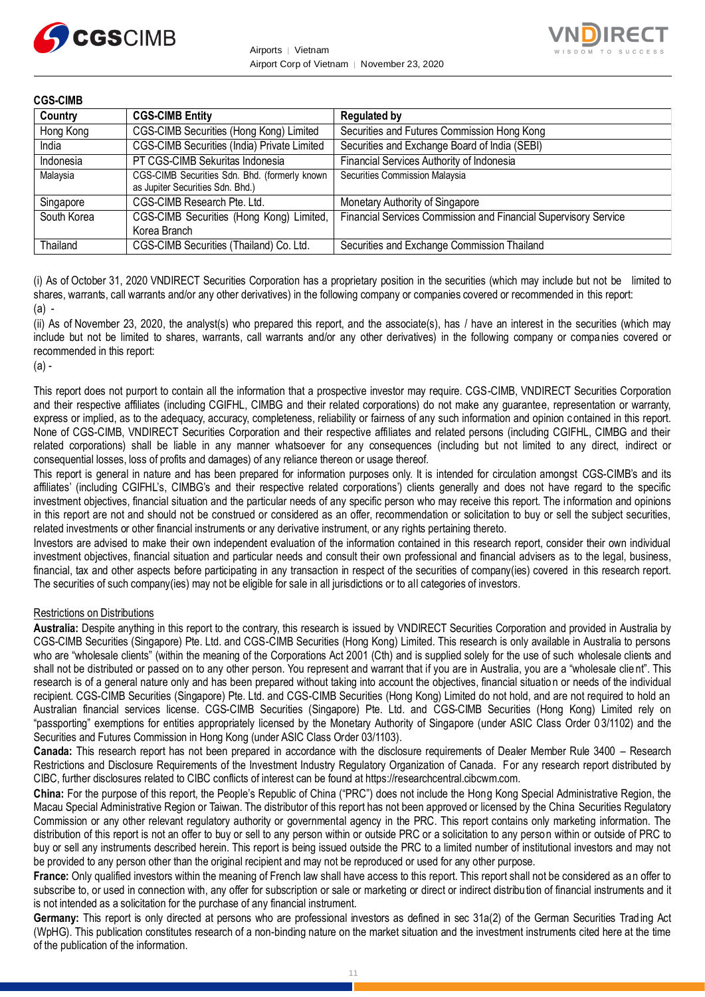



| <b>CGS-CIMB</b> |                                                                                   |                                                                 |  |  |
|-----------------|-----------------------------------------------------------------------------------|-----------------------------------------------------------------|--|--|
| Country         | <b>CGS-CIMB Entity</b>                                                            | <b>Regulated by</b>                                             |  |  |
| Hong Kong       | CGS-CIMB Securities (Hong Kong) Limited                                           | Securities and Futures Commission Hong Kong                     |  |  |
| India           | CGS-CIMB Securities (India) Private Limited                                       | Securities and Exchange Board of India (SEBI)                   |  |  |
| Indonesia       | PT CGS-CIMB Sekuritas Indonesia                                                   | Financial Services Authority of Indonesia                       |  |  |
| Malaysia        | CGS-CIMB Securities Sdn. Bhd. (formerly known<br>as Jupiter Securities Sdn. Bhd.) | Securities Commission Malaysia                                  |  |  |
| Singapore       | CGS-CIMB Research Pte. Ltd.                                                       | Monetary Authority of Singapore                                 |  |  |
| South Korea     | CGS-CIMB Securities (Hong Kong) Limited,<br>Korea Branch                          | Financial Services Commission and Financial Supervisory Service |  |  |
| Thailand        | CGS-CIMB Securities (Thailand) Co. Ltd.                                           | Securities and Exchange Commission Thailand                     |  |  |

(i) As of October 31, 2020 VNDIRECT Securities Corporation has a proprietary position in the securities (which may include but not be limited to shares, warrants, call warrants and/or any other derivatives) in the following company or companies covered or recommended in this report: (a) -

(ii) As of November 23, 2020, the analyst(s) who prepared this report, and the associate(s), has / have an interest in the securities (which may include but not be limited to shares, warrants, call warrants and/or any other derivatives) in the following company or companies covered or recommended in this report:

#### $(a)$  -

This report does not purport to contain all the information that a prospective investor may require. CGS-CIMB, VNDIRECT Securities Corporation and their respective affiliates (including CGIFHL, CIMBG and their related corporations) do not make any guarantee, representation or warranty, express or implied, as to the adequacy, accuracy, completeness, reliability or fairness of any such information and opinion c ontained in this report. None of CGS-CIMB, VNDIRECT Securities Corporation and their respective affiliates and related persons (including CGIFHL, CIMBG and their related corporations) shall be liable in any manner whatsoever for any consequences (including but not limited to any direct, indirect or consequential losses, loss of profits and damages) of any reliance thereon or usage thereof.

This report is general in nature and has been prepared for information purposes only. It is intended for circulation amongst CGS-CIMB's and its affiliates' (including CGIFHL's, CIMBG's and their respective related corporations') clients generally and does not have regard to the specific investment objectives, financial situation and the particular needs of any specific person who may receive this report. The information and opinions in this report are not and should not be construed or considered as an offer, recommendation or solicitation to buy or sell the subject securities, related investments or other financial instruments or any derivative instrument, or any rights pertaining thereto.

Investors are advised to make their own independent evaluation of the information contained in this research report, consider their own individual investment objectives, financial situation and particular needs and consult their own professional and financial advisers as to the legal, business, financial, tax and other aspects before participating in any transaction in respect of the securities of company(ies) covered in this research report. The securities of such company(ies) may not be eligible for sale in all jurisdictions or to all categories of investors.

### Restrictions on Distributions

**Australia:** Despite anything in this report to the contrary, this research is issued by VNDIRECT Securities Corporation and provided in Australia by CGS-CIMB Securities (Singapore) Pte. Ltd. and CGS-CIMB Securities (Hong Kong) Limited. This research is only available in Australia to persons who are "wholesale clients" (within the meaning of the Corporations Act 2001 (Cth) and is supplied solely for the use of such wholesale clients and shall not be distributed or passed on to any other person. You represent and warrant that if you are in Australia, you are a "wholesale clie nt". This research is of a general nature only and has been prepared without taking into account the objectives, financial situatio n or needs of the individual recipient. CGS-CIMB Securities (Singapore) Pte. Ltd. and CGS-CIMB Securities (Hong Kong) Limited do not hold, and are not required to hold an Australian financial services license. CGS-CIMB Securities (Singapore) Pte. Ltd. and CGS-CIMB Securities (Hong Kong) Limited rely on "passporting" exemptions for entities appropriately licensed by the Monetary Authority of Singapore (under ASIC Class Order 0 3/1102) and the Securities and Futures Commission in Hong Kong (under ASIC Class Order 03/1103).

**Canada:** This research report has not been prepared in accordance with the disclosure requirements of Dealer Member Rule 3400 – Research Restrictions and Disclosure Requirements of the Investment Industry Regulatory Organization of Canada. For any research report distributed by CIBC, further disclosures related to CIBC conflicts of interest can be found at https://researchcentral.cibcwm.com.

**China:** For the purpose of this report, the People's Republic of China ("PRC") does not include the Hong Kong Special Administrative Region, the Macau Special Administrative Region or Taiwan. The distributor of this report has not been approved or licensed by the China Securities Regulatory Commission or any other relevant regulatory authority or governmental agency in the PRC. This report contains only marketing information. The distribution of this report is not an offer to buy or sell to any person within or outside PRC or a solicitation to any person within or outside of PRC to buy or sell any instruments described herein. This report is being issued outside the PRC to a limited number of institutional investors and may not be provided to any person other than the original recipient and may not be reproduced or used for any other purpose.

**France:** Only qualified investors within the meaning of French law shall have access to this report. This report shall not be considered as an offer to subscribe to, or used in connection with, any offer for subscription or sale or marketing or direct or indirect distribution of financial instruments and it is not intended as a solicitation for the purchase of any financial instrument.

Germany: This report is only directed at persons who are professional investors as defined in sec 31a(2) of the German Securities Trading Act (WpHG). This publication constitutes research of a non-binding nature on the market situation and the investment instruments cited here at the time of the publication of the information.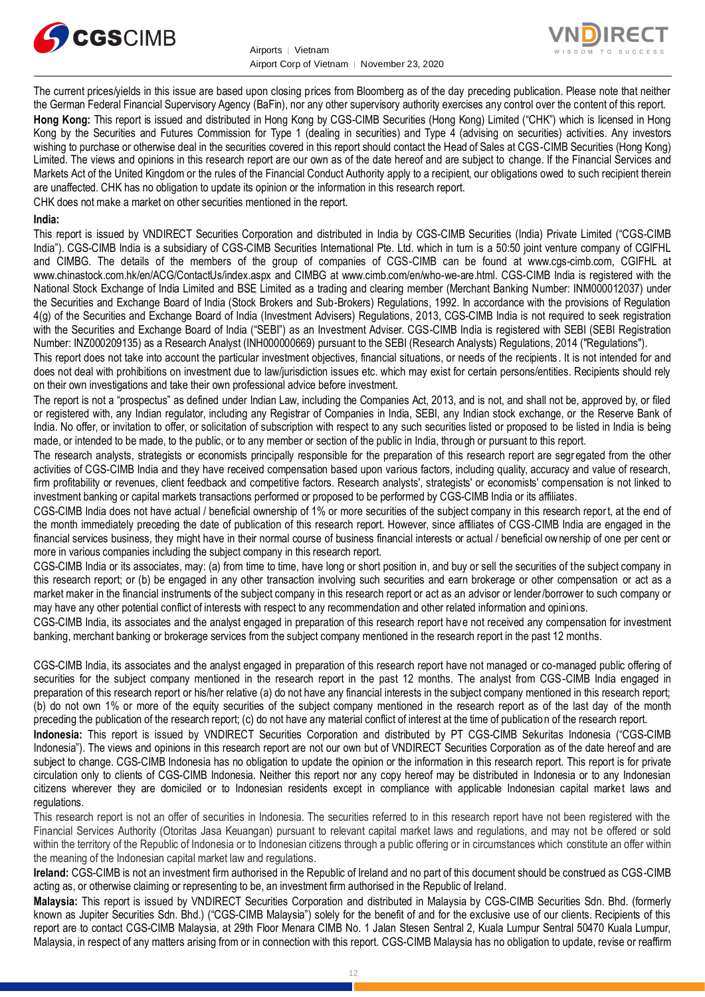



The current prices/yields in this issue are based upon closing prices from Bloomberg as of the day preceding publication. Please note that neither the German Federal Financial Supervisory Agency (BaFin), nor any other supervisory authority exercises any control over the content of this report. **Hong Kong:** This report is issued and distributed in Hong Kong by CGS-CIMB Securities (Hong Kong) Limited ("CHK") which is licensed in Hong Kong by the Securities and Futures Commission for Type 1 (dealing in securities) and Type 4 (advising on securities) activities. Any investors wishing to purchase or otherwise deal in the securities covered in this report should contact the Head of Sales at CGS-CIMB Securities (Hong Kong) Limited. The views and opinions in this research report are our own as of the date hereof and are subject to change. If the Financial Services and Markets Act of the United Kingdom or the rules of the Financial Conduct Authority apply to a recipient, our obligations owed to such recipient therein are unaffected. CHK has no obligation to update its opinion or the information in this research report. CHK does not make a market on other securities mentioned in the report.

### **India:**

This report is issued by VNDIRECT Securities Corporation and distributed in India by CGS-CIMB Securities (India) Private Limited ("CGS-CIMB India"). CGS-CIMB India is a subsidiary of CGS-CIMB Securities International Pte. Ltd. which in turn is a 50:50 joint venture company of CGIFHL and CIMBG. The details of the members of the group of companies of CGS-CIMB can be found at www.cgs-cimb.com, CGIFHL at www.chinastock.com.hk/en/ACG/ContactUs/index.aspx and CIMBG at www.cimb.com/en/who-we-are.html. CGS-CIMB India is registered with the National Stock Exchange of India Limited and BSE Limited as a trading and clearing member (Merchant Banking Number: INM000012037) under the Securities and Exchange Board of India (Stock Brokers and Sub-Brokers) Regulations, 1992. In accordance with the provisions of Regulation 4(g) of the Securities and Exchange Board of India (Investment Advisers) Regulations, 2013, CGS-CIMB India is not required to seek registration with the Securities and Exchange Board of India ("SEBI") as an Investment Adviser. CGS-CIMB India is registered with SEBI (SEBI Registration Number: INZ000209135) as a Research Analyst (INH000000669) pursuant to the SEBI (Research Analysts) Regulations, 2014 ("Regulations").

This report does not take into account the particular investment objectives, financial situations, or needs of the recipients . It is not intended for and does not deal with prohibitions on investment due to law/jurisdiction issues etc. which may exist for certain persons/entities. Recipients should rely on their own investigations and take their own professional advice before investment.

The report is not a "prospectus" as defined under Indian Law, including the Companies Act, 2013, and is not, and shall not be, approved by, or filed or registered with, any Indian regulator, including any Registrar of Companies in India, SEBI, any Indian stock exchange, or the Reserve Bank of India. No offer, or invitation to offer, or solicitation of subscription with respect to any such securities listed or proposed to be listed in India is being made, or intended to be made, to the public, or to any member or section of the public in India, through or pursuant to this report.

The research analysts, strategists or economists principally responsible for the preparation of this research report are segregated from the other activities of CGS-CIMB India and they have received compensation based upon various factors, including quality, accuracy and value of research, firm profitability or revenues, client feedback and competitive factors. Research analysts', strategists' or economists' compensation is not linked to investment banking or capital markets transactions performed or proposed to be performed by CGS-CIMB India or its affiliates.

CGS-CIMB India does not have actual / beneficial ownership of 1% or more securities of the subject company in this research report, at the end of the month immediately preceding the date of publication of this research report. However, since affiliates of CGS-CIMB India are engaged in the financial services business, they might have in their normal course of business financial interests or actual / beneficial ownership of one per cent or more in various companies including the subject company in this research report.

CGS-CIMB India or its associates, may: (a) from time to time, have long or short position in, and buy or sell the securities of the subject company in this research report; or (b) be engaged in any other transaction involving such securities and earn brokerage or other compensation or act as a market maker in the financial instruments of the subject company in this research report or act as an advisor or lender/borrower to such company or may have any other potential conflict of interests with respect to any recommendation and other related information and opinions.

CGS-CIMB India, its associates and the analyst engaged in preparation of this research report have not received any compensation for investment banking, merchant banking or brokerage services from the subject company mentioned in the research report in the past 12 months.

CGS-CIMB India, its associates and the analyst engaged in preparation of this research report have not managed or co-managed public offering of securities for the subject company mentioned in the research report in the past 12 months. The analyst from CGS-CIMB India engaged in preparation of this research report or his/her relative (a) do not have any financial interests in the subject company mentioned in this research report; (b) do not own 1% or more of the equity securities of the subject company mentioned in the research report as of the last day of the month preceding the publication of the research report; (c) do not have any material conflict of interest at the time of publication of the research report.

**Indonesia:** This report is issued by VNDIRECT Securities Corporation and distributed by PT CGS-CIMB Sekuritas Indonesia ("CGS-CIMB Indonesia"). The views and opinions in this research report are not our own but of VNDIRECT Securities Corporation as of the date hereof and are subject to change. CGS-CIMB Indonesia has no obligation to update the opinion or the information in this research report. This report is for private circulation only to clients of CGS-CIMB Indonesia. Neither this report nor any copy hereof may be distributed in Indonesia or to any Indonesian citizens wherever they are domiciled or to Indonesian residents except in compliance with applicable Indonesian capital market laws and regulations.

This research report is not an offer of securities in Indonesia. The securities referred to in this research report have not been registered with the Financial Services Authority (Otoritas Jasa Keuangan) pursuant to relevant capital market laws and regulations, and may not be offered or sold within the territory of the Republic of Indonesia or to Indonesian citizens through a public offering or in circumstances which constitute an offer within the meaning of the Indonesian capital market law and regulations.

**Ireland:** CGS-CIMB is not an investment firm authorised in the Republic of Ireland and no part of this document should be construed as CGS-CIMB acting as, or otherwise claiming or representing to be, an investment firm authorised in the Republic of Ireland.

**Malaysia:** This report is issued by VNDIRECT Securities Corporation and distributed in Malaysia by CGS-CIMB Securities Sdn. Bhd. (formerly known as Jupiter Securities Sdn. Bhd.) ("CGS-CIMB Malaysia") solely for the benefit of and for the exclusive use of our clients. Recipients of this report are to contact CGS-CIMB Malaysia, at 29th Floor Menara CIMB No. 1 Jalan Stesen Sentral 2, Kuala Lumpur Sentral 50470 Kuala Lumpur, Malaysia, in respect of any matters arising from or in connection with this report. CGS-CIMB Malaysia has no obligation to update, revise or reaffirm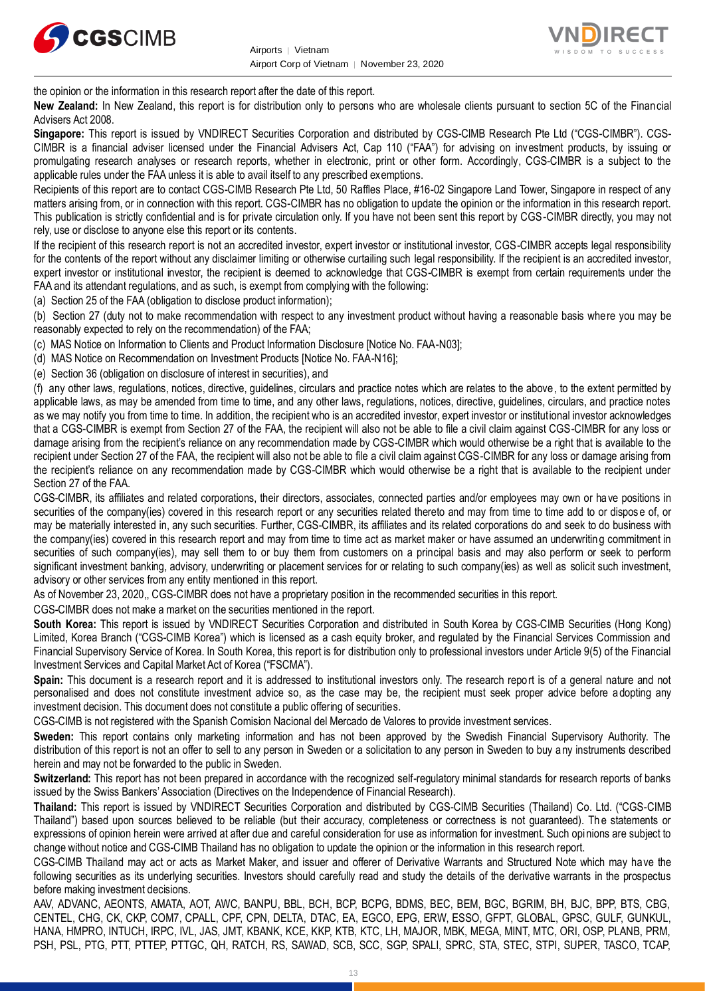



the opinion or the information in this research report after the date of this report.

**New Zealand:** In New Zealand, this report is for distribution only to persons who are wholesale clients pursuant to section 5C of the Financial Advisers Act 2008.

**Singapore:** This report is issued by VNDIRECT Securities Corporation and distributed by CGS-CIMB Research Pte Ltd ("CGS-CIMBR"). CGS-CIMBR is a financial adviser licensed under the Financial Advisers Act, Cap 110 ("FAA") for advising on investment products, by issuing or promulgating research analyses or research reports, whether in electronic, print or other form. Accordingly, CGS-CIMBR is a subject to the applicable rules under the FAA unless it is able to avail itself to any prescribed exemptions.

Recipients of this report are to contact CGS-CIMB Research Pte Ltd, 50 Raffles Place, #16-02 Singapore Land Tower, Singapore in respect of any matters arising from, or in connection with this report. CGS-CIMBR has no obligation to update the opinion or the information in this research report. This publication is strictly confidential and is for private circulation only. If you have not been sent this report by CGS-CIMBR directly, you may not rely, use or disclose to anyone else this report or its contents.

If the recipient of this research report is not an accredited investor, expert investor or institutional investor, CGS-CIMBR accepts legal responsibility for the contents of the report without any disclaimer limiting or otherwise curtailing such legal responsibility. If the recipient is an accredited investor, expert investor or institutional investor, the recipient is deemed to acknowledge that CGS-CIMBR is exempt from certain requirements under the FAA and its attendant regulations, and as such, is exempt from complying with the following:

(a) Section 25 of the FAA (obligation to disclose product information);

(b) Section 27 (duty not to make recommendation with respect to any investment product without having a reasonable basis where you may be reasonably expected to rely on the recommendation) of the FAA;

(c) MAS Notice on Information to Clients and Product Information Disclosure [Notice No. FAA-N03];

(d) MAS Notice on Recommendation on Investment Products [Notice No. FAA-N16];

(e) Section 36 (obligation on disclosure of interest in securities), and

(f) any other laws, regulations, notices, directive, guidelines, circulars and practice notes which are relates to the above, to the extent permitted by applicable laws, as may be amended from time to time, and any other laws, regulations, notices, directive, guidelines, circulars, and practice notes as we may notify you from time to time. In addition, the recipient who is an accredited investor, expert investor or institutional investor acknowledges that a CGS-CIMBR is exempt from Section 27 of the FAA, the recipient will also not be able to file a civil claim against CGS-CIMBR for any loss or damage arising from the recipient's reliance on any recommendation made by CGS-CIMBR which would otherwise be a right that is available to the recipient under Section 27 of the FAA, the recipient will also not be able to file a civil claim against CGS-CIMBR for any loss or damage arising from the recipient's reliance on any recommendation made by CGS-CIMBR which would otherwise be a right that is available to the recipient under Section 27 of the FAA.

CGS-CIMBR, its affiliates and related corporations, their directors, associates, connected parties and/or employees may own or have positions in securities of the company(ies) covered in this research report or any securities related thereto and may from time to time add to or dispose of, or may be materially interested in, any such securities. Further, CGS-CIMBR, its affiliates and its related corporations do and seek to do business with the company(ies) covered in this research report and may from time to time act as market maker or have assumed an underwriting commitment in securities of such company(ies), may sell them to or buy them from customers on a principal basis and may also perform or seek to perform significant investment banking, advisory, underwriting or placement services for or relating to such company(ies) as well as solicit such investment, advisory or other services from any entity mentioned in this report.

As of November 23, 2020,, CGS-CIMBR does not have a proprietary position in the recommended securities in this report.

CGS-CIMBR does not make a market on the securities mentioned in the report.

**South Korea:** This report is issued by VNDIRECT Securities Corporation and distributed in South Korea by CGS-CIMB Securities (Hong Kong) Limited, Korea Branch ("CGS-CIMB Korea") which is licensed as a cash equity broker, and regulated by the Financial Services Commission and Financial Supervisory Service of Korea. In South Korea, this report is for distribution only to professional investors under Article 9(5) of the Financial Investment Services and Capital Market Act of Korea ("FSCMA").

**Spain:** This document is a research report and it is addressed to institutional investors only. The research report is of a general nature and not personalised and does not constitute investment advice so, as the case may be, the recipient must seek proper advice before adopting any investment decision. This document does not constitute a public offering of securities.

CGS-CIMB is not registered with the Spanish Comision Nacional del Mercado de Valores to provide investment services.

**Sweden:** This report contains only marketing information and has not been approved by the Swedish Financial Supervisory Authority. The distribution of this report is not an offer to sell to any person in Sweden or a solicitation to any person in Sweden to buy a ny instruments described herein and may not be forwarded to the public in Sweden.

**Switzerland:** This report has not been prepared in accordance with the recognized self-regulatory minimal standards for research reports of banks issued by the Swiss Bankers' Association (Directives on the Independence of Financial Research).

**Thailand:** This report is issued by VNDIRECT Securities Corporation and distributed by CGS-CIMB Securities (Thailand) Co. Ltd. ("CGS-CIMB Thailand") based upon sources believed to be reliable (but their accuracy, completeness or correctness is not guaranteed). The statements or expressions of opinion herein were arrived at after due and careful consideration for use as information for investment. Such opinions are subject to change without notice and CGS-CIMB Thailand has no obligation to update the opinion or the information in this research report.

CGS-CIMB Thailand may act or acts as Market Maker, and issuer and offerer of Derivative Warrants and Structured Note which may have the following securities as its underlying securities. Investors should carefully read and study the details of the derivative warrants in the prospectus before making investment decisions.

AAV, ADVANC, AEONTS, AMATA, AOT, AWC, BANPU, BBL, BCH, BCP, BCPG, BDMS, BEC, BEM, BGC, BGRIM, BH, BJC, BPP, BTS, CBG, CENTEL, CHG, CK, CKP, COM7, CPALL, CPF, CPN, DELTA, DTAC, EA, EGCO, EPG, ERW, ESSO, GFPT, GLOBAL, GPSC, GULF, GUNKUL, HANA, HMPRO, INTUCH, IRPC, IVL, JAS, JMT, KBANK, KCE, KKP, KTB, KTC, LH, MAJOR, MBK, MEGA, MINT, MTC, ORI, OSP, PLANB, PRM, PSH, PSL, PTG, PTT, PTTEP, PTTGC, QH, RATCH, RS, SAWAD, SCB, SCC, SGP, SPALI, SPRC, STA, STEC, STPI, SUPER, TASCO, TCAP,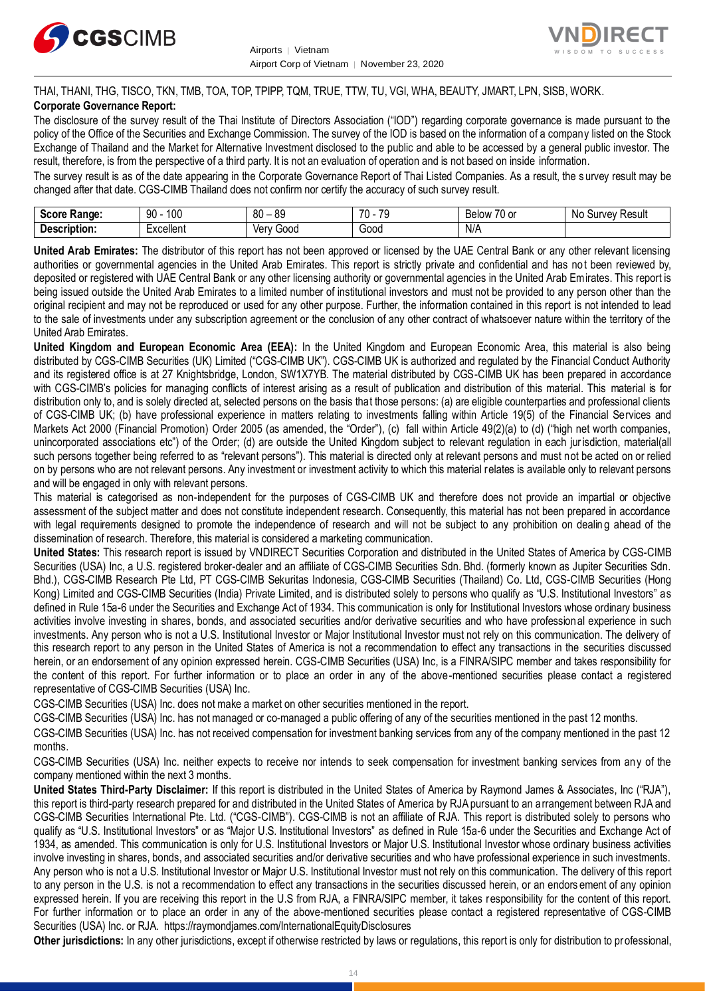



### THAI, THANI, THG, TISCO, TKN, TMB, TOA, TOP, TPIPP, TQM, TRUE, TTW, TU, VGI, WHA, BEAUTY, JMART, LPN, SISB, WORK. **Corporate Governance Report:**

The disclosure of the survey result of the Thai Institute of Directors Association ("IOD") regarding corporate governance is made pursuant to the policy of the Office of the Securities and Exchange Commission. The survey of the IOD is based on the information of a company listed on the Stock Exchange of Thailand and the Market for Alternative Investment disclosed to the public and able to be accessed by a general public investor. The result, therefore, is from the perspective of a third party. It is not an evaluation of operation and is not based on inside information.

The survey result is as of the date appearing in the Corporate Governance Report of Thai Listed Companies. As a result, the s urvey result may be changed after that date. CGS-CIMB Thailand does not confirm nor certify the accuracy of such survey result.

| <b>Score</b><br>:Range              | ممد<br>90<br>טע         | - or<br>80<br>-<br>vũ | 70<br>$\overline{\phantom{a}}$<br>$\cdot$ | - -<br><b>Below</b><br>U or<br>Dеı | N0<br>≺esul<br>JUIVEV |
|-------------------------------------|-------------------------|-----------------------|-------------------------------------------|------------------------------------|-----------------------|
| Desc.<br>$     -$<br>`tion.<br>rını | -voollant<br>ו טווטוונ. | 000c<br>ver           | Good                                      | N/A                                |                       |

**United Arab Emirates:** The distributor of this report has not been approved or licensed by the UAE Central Bank or any other relevant licensing authorities or governmental agencies in the United Arab Emirates. This report is strictly private and confidential and has not been reviewed by, deposited or registered with UAE Central Bank or any other licensing authority or governmental agencies in the United Arab Emirates. This report is being issued outside the United Arab Emirates to a limited number of institutional investors and must not be provided to any person other than the original recipient and may not be reproduced or used for any other purpose. Further, the information contained in this report is not intended to lead to the sale of investments under any subscription agreement or the conclusion of any other contract of whatsoever nature within the territory of the United Arab Emirates.

**United Kingdom and European Economic Area (EEA):** In the United Kingdom and European Economic Area, this material is also being distributed by CGS-CIMB Securities (UK) Limited ("CGS-CIMB UK"). CGS-CIMB UK is authorized and regulated by the Financial Conduct Authority and its registered office is at 27 Knightsbridge, London, SW1X7YB. The material distributed by CGS-CIMB UK has been prepared in accordance with CGS-CIMB's policies for managing conflicts of interest arising as a result of publication and distribution of this material. This material is for distribution only to, and is solely directed at, selected persons on the basis that those persons: (a) are eligible counterparties and professional clients of CGS-CIMB UK; (b) have professional experience in matters relating to investments falling within Article 19(5) of the Financial Services and Markets Act 2000 (Financial Promotion) Order 2005 (as amended, the "Order"), (c) fall within Article 49(2)(a) to (d) ("high net worth companies, unincorporated associations etc") of the Order; (d) are outside the United Kingdom subject to relevant regulation in each jurisdiction, material(all such persons together being referred to as "relevant persons"). This material is directed only at relevant persons and must not be acted on or relied on by persons who are not relevant persons. Any investment or investment activity to which this material relates is available only to relevant persons and will be engaged in only with relevant persons.

This material is categorised as non-independent for the purposes of CGS-CIMB UK and therefore does not provide an impartial or objective assessment of the subject matter and does not constitute independent research. Consequently, this material has not been prepared in accordance with legal requirements designed to promote the independence of research and will not be subject to any prohibition on dealing ahead of the dissemination of research. Therefore, this material is considered a marketing communication.

**United States:** This research report is issued by VNDIRECT Securities Corporation and distributed in the United States of America by CGS-CIMB Securities (USA) Inc, a U.S. registered broker-dealer and an affiliate of CGS-CIMB Securities Sdn. Bhd. (formerly known as Jupiter Securities Sdn. Bhd.), CGS-CIMB Research Pte Ltd, PT CGS-CIMB Sekuritas Indonesia, CGS-CIMB Securities (Thailand) Co. Ltd, CGS-CIMB Securities (Hong Kong) Limited and CGS-CIMB Securities (India) Private Limited, and is distributed solely to persons who qualify as "U.S. Institutional Investors" as defined in Rule 15a-6 under the Securities and Exchange Act of 1934. This communication is only for Institutional Investors whose ordinary business activities involve investing in shares, bonds, and associated securities and/or derivative securities and who have professional experience in such investments. Any person who is not a U.S. Institutional Investor or Major Institutional Investor must not rely on this communication. The delivery of this research report to any person in the United States of America is not a recommendation to effect any transactions in the securities discussed herein, or an endorsement of any opinion expressed herein. CGS-CIMB Securities (USA) Inc, is a FINRA/SIPC member and takes responsibility for the content of this report. For further information or to place an order in any of the above-mentioned securities please contact a registered representative of CGS-CIMB Securities (USA) Inc.

CGS-CIMB Securities (USA) Inc. does not make a market on other securities mentioned in the report.

CGS-CIMB Securities (USA) Inc. has not managed or co-managed a public offering of any of the securities mentioned in the past 12 months.

CGS-CIMB Securities (USA) Inc. has not received compensation for investment banking services from any of the company mentioned in the past 12 months.

CGS-CIMB Securities (USA) Inc. neither expects to receive nor intends to seek compensation for investment banking services from any of the company mentioned within the next 3 months.

**United States Third-Party Disclaimer:** If this report is distributed in the United States of America by Raymond James & Associates, Inc ("RJA"), this report is third-party research prepared for and distributed in the United States of America by RJA pursuant to an arrangement between RJA and CGS-CIMB Securities International Pte. Ltd. ("CGS-CIMB"). CGS-CIMB is not an affiliate of RJA. This report is distributed solely to persons who qualify as "U.S. Institutional Investors" or as "Major U.S. Institutional Investors" as defined in Rule 15a-6 under the Securities and Exchange Act of 1934, as amended. This communication is only for U.S. Institutional Investors or Major U.S. Institutional Investor whose ordinary business activities involve investing in shares, bonds, and associated securities and/or derivative securities and who have professional experience in such investments. Any person who is not a U.S. Institutional Investor or Major U.S. Institutional Investor must not rely on this communication. The delivery of this report to any person in the U.S. is not a recommendation to effect any transactions in the securities discussed herein, or an endors ement of any opinion expressed herein. If you are receiving this report in the U.S from RJA, a FINRA/SIPC member, it takes responsibility for the content of this report. For further information or to place an order in any of the above-mentioned securities please contact a registered representative of CGS-CIMB Securities (USA) Inc. or RJA.<https://raymondjames.com/InternationalEquityDisclosures>

**Other jurisdictions:** In any other jurisdictions, except if otherwise restricted by laws or regulations, this report is only for distribution to professional,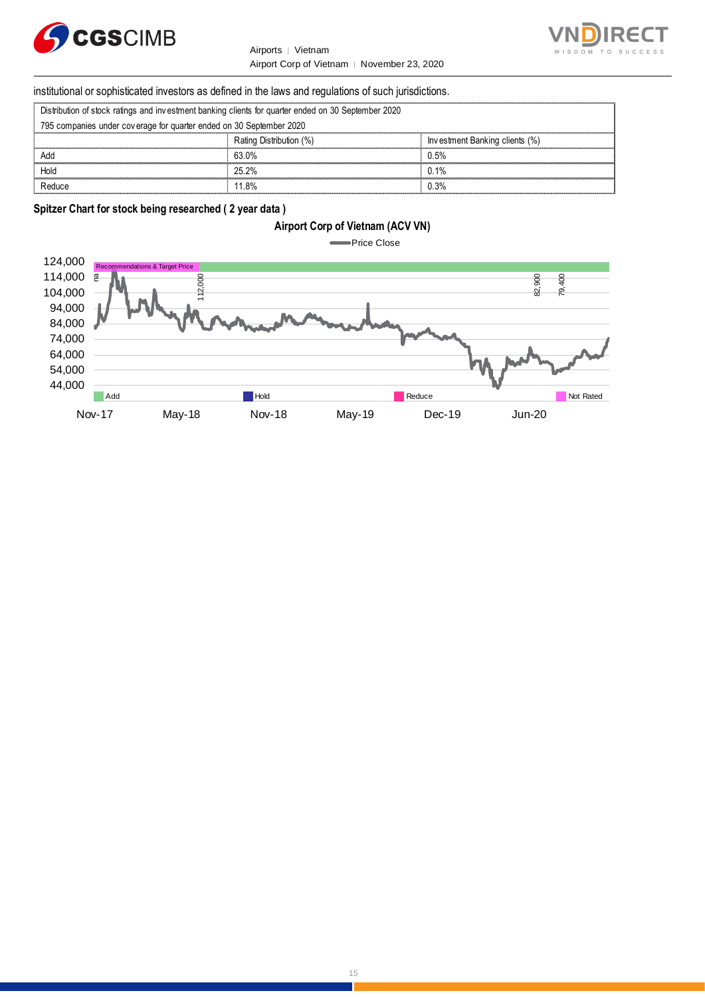

Airports │ Vietnam Airport Corp of Vietnam │ November 23, 2020



### institutional or sophisticated investors as defined in the laws and regulations of such jurisdictions.

| Airport Corp of Vietnam   November 23, 20                                                           |
|-----------------------------------------------------------------------------------------------------|
| institutional or sophisticated investors as defined in the laws and regulations of such jurisdicti  |
| Distribution of stock ratings and investment banking clients for quarter ended on 30 September 2020 |
| 795 companies under coverage for quarter ended on 30 September 2020                                 |

| institutional or sophisticated investors as defined in the laws and regulations of such jurisdictions. |                         |                                |  |
|--------------------------------------------------------------------------------------------------------|-------------------------|--------------------------------|--|
| Distribution of stock ratings and investment banking clients for quarter ended on 30 September 2020    |                         |                                |  |
| 795 companies under coverage for quarter ended on 30 September 2020                                    |                         |                                |  |
|                                                                                                        | Rating Distribution (%) | Investment Banking clients (%) |  |
| Add                                                                                                    | 63.0%                   | 0.5%                           |  |
| Hold                                                                                                   | 25.2%                   | 0.1%                           |  |
| Reduce                                                                                                 | 11 8%                   | በ 3%                           |  |

### **Spitzer Chart for stock being researched ( 2 year data )**

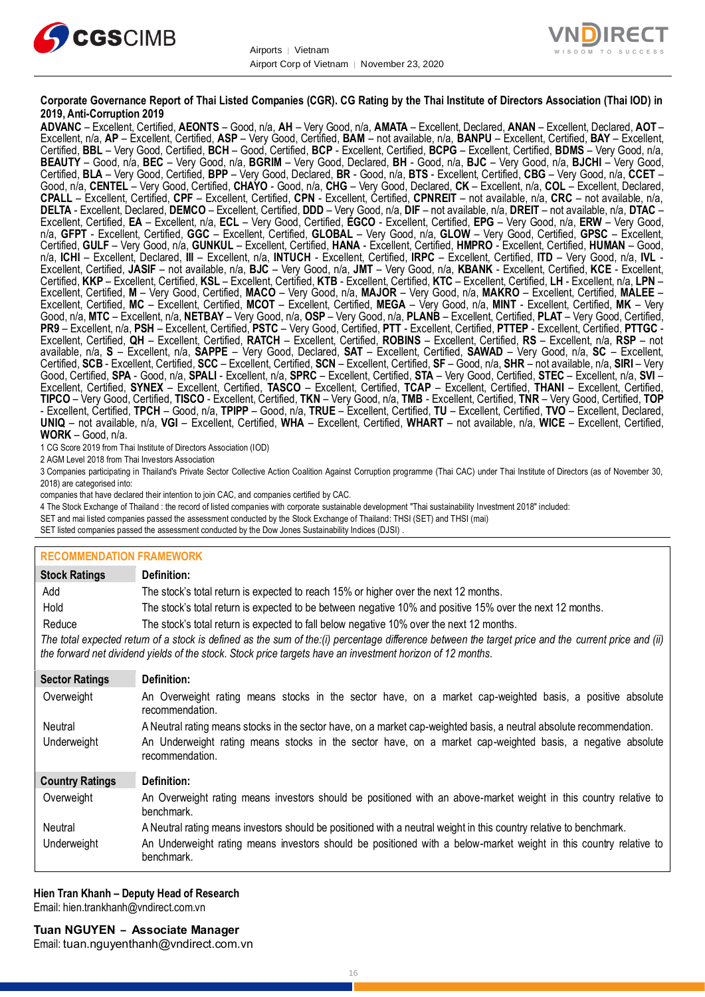



### **Corporate Governance Report of Thai Listed Companies (CGR). CG Rating by the Thai Institute of Directors Association (Thai IOD) in 2019, Anti-Corruption 2019**

**ADVANC** – Excellent, Certified, **AEONTS** – Good, n/a, **AH** – Very Good, n/a, **AMATA** – Excellent, Declared, **ANAN** – Excellent, Declared, **AOT** – Excellent, n/a, **AP** – Excellent, Certified, **ASP** – Very Good, Certified, **BAM** – not available, n/a, **BANPU** – Excellent, Certified, **BAY** – Excellent, Certified, **BBL** – Very Good, Certified, **BCH** – Good, Certified, **BCP** - Excellent, Certified, **BCPG** – Excellent, Certified, **BDMS** – Very Good, n/a, **BEAUTY** – Good, n/a, **BEC** – Very Good, n/a, **BGRIM** – Very Good, Declared, **BH** - Good, n/a, **BJC** – Very Good, n/a, **BJCHI** – Very Good, Certified, **BLA** – Very Good, Certified, **BPP** – Very Good, Declared, **BR** - Good, n/a, **BTS** - Excellent, Certified, **CBG** – Very Good, n/a, **CCET** – Good, n/a, **CENTEL** – Very Good, Certified, **CHAYO** - Good, n/a, **CHG** – Very Good, Declared, **CK** – Excellent, n/a, **COL** – Excellent, Declared, **CPALL** – Excellent, Certified, **CPF** – Excellent, Certified, **CPN** - Excellent, Certified, **CPNREIT** – not available, n/a, **CRC** – not available, n/a, **DELTA** - Excellent, Declared, **DEMCO** – Excellent, Certified, **DDD** – Very Good, n/a, **DIF** – not available, n/a, **DREIT** – not available, n/a, **DTAC** – Excellent, Certified, **EA** – Excellent, n/a, **ECL** – Very Good, Certified, **EGCO** - Excellent, Certified, **EPG** – Very Good, n/a, **ERW** – Very Good, n/a, **GFPT** - Excellent, Certified, **GGC** – Excellent, Certified, **GLOBAL** – Very Good, n/a, **GLOW** – Very Good, Certified, **GPSC** – Excellent, Certified, **GULF** – Very Good, n/a, **GUNKUL** – Excellent, Certified, **HANA** - Excellent, Certified, **HMPRO** - Excellent, Certified, **HUMAN** – Good, n/a, **ICHI** – Excellent, Declared, **III** – Excellent, n/a, **INTUCH** - Excellent, Certified, **IRPC** – Excellent, Certified, **ITD** – Very Good, n/a, **IVL** - Excellent, Certified, **JASIF** – not available, n/a, **BJC** – Very Good, n/a, **JMT** – Very Good, n/a, **KBANK** - Excellent, Certified, **KCE** - Excellent, Certified, **KKP** – Excellent, Certified, **KSL** – Excellent, Certified, **KTB** - Excellent, Certified, **KTC** – Excellent, Certified, **LH** - Excellent, n/a, **LPN** – Excellent, Certified, **M** – Very Good, Certified, **MACO** – Very Good, n/a, **MAJOR** – Very Good, n/a, **MAKRO** – Excellent, Certified, **MALEE** – Excellent, Certified, **MC** – Excellent, Certified, **MCOT** – Excellent, Certified, **MEGA** – Very Good, n/a, **MINT** - Excellent, Certified, **MK** – Very Good, n/a, **MTC** – Excellent, n/a, **NETBAY** – Very Good, n/a, **OSP** – Very Good, n/a, **PLANB** – Excellent, Certified, **PLAT** – Very Good, Certified, **PR9** – Excellent, n/a, **PSH** – Excellent, Certified, **PSTC** – Very Good, Certified, **PTT** - Excellent, Certified, **PTTEP** - Excellent, Certified, **PTTGC** - Excellent, Certified, **QH** – Excellent, Certified, **RATCH** – Excellent, Certified, **ROBINS** – Excellent, Certified, **RS** – Excellent, n/a, **RSP** – not available, n/a, **S** – Excellent, n/a, **SAPPE** – Very Good, Declared, **SAT** – Excellent, Certified, **SAWAD** – Very Good, n/a, **SC** – Excellent, Certified, **SCB** - Excellent, Certified, **SCC** – Excellent, Certified, **SCN** – Excellent, Certified, **SF** – Good, n/a, **SHR** – not available, n/a, **SIRI** – Very Good, Certified, **SPA** - Good, n/a, **SPALI** - Excellent, n/a, **SPRC** – Excellent, Certified, **STA** – Very Good, Certified, **STEC** – Excellent, n/a, **SVI** – Excellent, Certified, **SYNEX** – Excellent, Certified, **TASCO** – Excellent, Certified, **TCAP** – Excellent, Certified, **THANI** – Excellent, Certified, **TIPCO** – Very Good, Certified, **TISCO** - Excellent, Certified, **TKN** – Very Good, n/a, **TMB** - Excellent, Certified, **TNR** – Very Good, Certified, **TOP** - Excellent, Certified, **TPCH** – Good, n/a, **TPIPP** – Good, n/a, **TRUE** – Excellent, Certified, **TU** – Excellent, Certified, **TVO** – Excellent, Declared, **UNIQ** – not available, n/a, **VGI** – Excellent, Certified, **WHA** – Excellent, Certified, **WHART** – not available, n/a, **WICE** – Excellent, Certified, **WORK** – Good, n/a.

1 CG Score 2019 from Thai Institute of Directors Association (IOD)

2 AGM Level 2018 from Thai Investors Association

3 Companies participating in Thailand's Private Sector Collective Action Coalition Against Corruption programme (Thai CAC) under Thai Institute of Directors (as of November 30, 2018) are categorised into:

companies that have declared their intention to join CAC, and companies certified by CAC.

4 [The Stock Exchange of Thailand : the record of listed companies with corporate sustainable development "Thai sustainability Investment 2018" included:](http://www.set.or.th/sustainable_dev/en/sr/sri/tsi_p1.html)

SET and mai listed companies passed the assessment conducted by the Stock Exchange of Thailand: THSI (SET) and THSI (mai)

SET listed companies passed the assessment conducted by the Dow Jones Sustainability Indices (DJSI)

### **RECOMMENDATION FRAMEWORK**

| <b>Stock Ratings</b>   | Definition:                                                                                                                                                                                                                                                       |
|------------------------|-------------------------------------------------------------------------------------------------------------------------------------------------------------------------------------------------------------------------------------------------------------------|
| Add                    | The stock's total return is expected to reach 15% or higher over the next 12 months.                                                                                                                                                                              |
| Hold                   | The stock's total return is expected to be between negative 10% and positive 15% over the next 12 months.                                                                                                                                                         |
| Reduce                 | The stock's total return is expected to fall below negative 10% over the next 12 months.                                                                                                                                                                          |
|                        | The total expected return of a stock is defined as the sum of the:(i) percentage difference between the target price and the current price and (ii)<br>the forward net dividend yields of the stock. Stock price targets have an investment horizon of 12 months. |
| <b>Sector Ratings</b>  | Definition:                                                                                                                                                                                                                                                       |
| Overweight             | An Overweight rating means stocks in the sector have, on a market cap-weighted basis, a positive absolute<br>recommendation.                                                                                                                                      |
| Neutral                | A Neutral rating means stocks in the sector have, on a market cap-weighted basis, a neutral absolute recommendation.                                                                                                                                              |
| Underweight            | An Underweight rating means stocks in the sector have, on a market cap-weighted basis, a negative absolute<br>recommendation.                                                                                                                                     |
| <b>Country Ratings</b> | Definition:                                                                                                                                                                                                                                                       |
| Overweight             | An Overweight rating means investors should be positioned with an above-market weight in this country relative to<br>benchmark.                                                                                                                                   |
| Neutral                | A Neutral rating means investors should be positioned with a neutral weight in this country relative to benchmark.                                                                                                                                                |
| Underweight            | An Underweight rating means investors should be positioned with a below-market weight in this country relative to<br>benchmark.                                                                                                                                   |

**Hien Tran Khanh – Deputy Head of Research** Email[: hien.trankhanh@vndirect.com.vn](mailto:hien.trankhanh@vndirect.com.vn)

Email: [tuan.nguyenthanh@vndirect.com.vn](mailto:tuan.nguyenthanh@vndirect.com.vn)